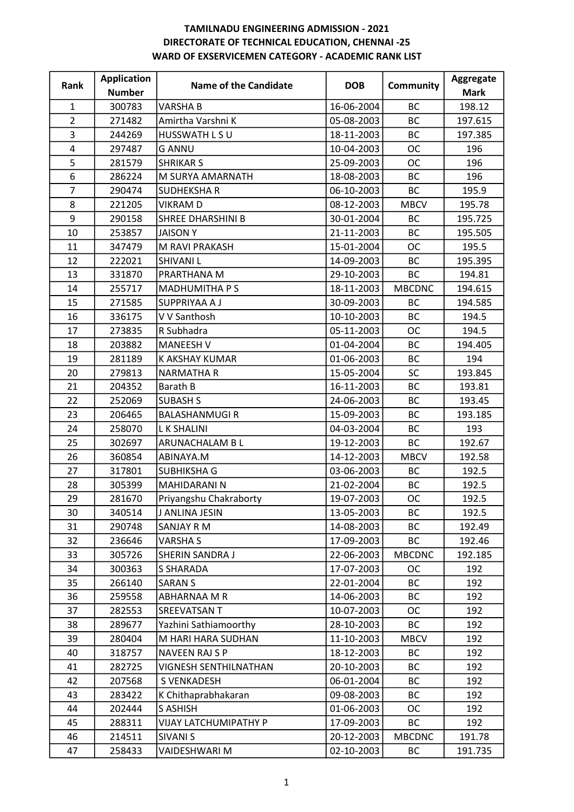| Rank           | <b>Application</b> | Name of the Candidate        | <b>DOB</b> | <b>Community</b> | Aggregate   |
|----------------|--------------------|------------------------------|------------|------------------|-------------|
|                | <b>Number</b>      |                              |            |                  | <b>Mark</b> |
| $\mathbf{1}$   | 300783             | <b>VARSHAB</b>               | 16-06-2004 | <b>BC</b>        | 198.12      |
| $\overline{2}$ | 271482             | Amirtha Varshni K            | 05-08-2003 | <b>BC</b>        | 197.615     |
| 3              | 244269             | HUSSWATH L S U               | 18-11-2003 | <b>BC</b>        | 197.385     |
| 4              | 297487             | <b>G ANNU</b>                | 10-04-2003 | <b>OC</b>        | 196         |
| 5              | 281579             | <b>SHRIKAR S</b>             | 25-09-2003 | <b>OC</b>        | 196         |
| $\overline{6}$ | 286224             | M SURYA AMARNATH             | 18-08-2003 | <b>BC</b>        | 196         |
| $\overline{7}$ | 290474             | <b>SUDHEKSHAR</b>            | 06-10-2003 | <b>BC</b>        | 195.9       |
| 8              | 221205             | <b>VIKRAMD</b>               | 08-12-2003 | <b>MBCV</b>      | 195.78      |
| 9              | 290158             | SHREE DHARSHINI B            | 30-01-2004 | <b>BC</b>        | 195.725     |
| 10             | 253857             | <b>JAISONY</b>               | 21-11-2003 | <b>BC</b>        | 195.505     |
| 11             | 347479             | M RAVI PRAKASH               | 15-01-2004 | <b>OC</b>        | 195.5       |
| 12             | 222021             | <b>SHIVANIL</b>              | 14-09-2003 | <b>BC</b>        | 195.395     |
| 13             | 331870             | PRARTHANA M                  | 29-10-2003 | <b>BC</b>        | 194.81      |
| 14             | 255717             | <b>MADHUMITHA PS</b>         | 18-11-2003 | <b>MBCDNC</b>    | 194.615     |
| 15             | 271585             | SUPPRIYAA A J                | 30-09-2003 | <b>BC</b>        | 194.585     |
| 16             | 336175             | V V Santhosh                 | 10-10-2003 | <b>BC</b>        | 194.5       |
| 17             | 273835             | R Subhadra                   | 05-11-2003 | <b>OC</b>        | 194.5       |
| 18             | 203882             | <b>MANEESH V</b>             | 01-04-2004 | <b>BC</b>        | 194.405     |
| 19             | 281189             | K AKSHAY KUMAR               | 01-06-2003 | <b>BC</b>        | 194         |
| 20             | 279813             | <b>NARMATHA R</b>            | 15-05-2004 | SC               | 193.845     |
| 21             | 204352             | Barath B                     | 16-11-2003 | <b>BC</b>        | 193.81      |
| 22             | 252069             | <b>SUBASH S</b>              | 24-06-2003 | <b>BC</b>        | 193.45      |
| 23             | 206465             | <b>BALASHANMUGIR</b>         | 15-09-2003 | <b>BC</b>        | 193.185     |
| 24             | 258070             | <b>LK SHALINI</b>            | 04-03-2004 | BC               | 193         |
| 25             | 302697             | ARUNACHALAM B L              | 19-12-2003 | <b>BC</b>        | 192.67      |
| 26             | 360854             | ABINAYA.M                    | 14-12-2003 | <b>MBCV</b>      | 192.58      |
| 27             | 317801             | <b>SUBHIKSHA G</b>           | 03-06-2003 | BC               | 192.5       |
| 28             | 305399             | <b>MAHIDARANI N</b>          | 21-02-2004 | <b>BC</b>        | 192.5       |
| 29             | 281670             | Priyangshu Chakraborty       | 19-07-2003 | <b>OC</b>        | 192.5       |
| 30             | 340514             | J ANLINA JESIN               | 13-05-2003 | BC               | 192.5       |
| 31             | 290748             | <b>SANJAY R M</b>            | 14-08-2003 | <b>BC</b>        | 192.49      |
| 32             | 236646             | <b>VARSHA S</b>              | 17-09-2003 | BC               | 192.46      |
| 33             | 305726             | SHERIN SANDRA J              | 22-06-2003 | <b>MBCDNC</b>    | 192.185     |
| 34             | 300363             | <b>S SHARADA</b>             | 17-07-2003 | <b>OC</b>        | 192         |
| 35             | 266140             | <b>SARAN S</b>               | 22-01-2004 | <b>BC</b>        | 192         |
| 36             | 259558             | ABHARNAA M R                 | 14-06-2003 | <b>BC</b>        | 192         |
| 37             | 282553             | SREEVATSAN T                 | 10-07-2003 | <b>OC</b>        | 192         |
| 38             | 289677             | Yazhini Sathiamoorthy        | 28-10-2003 | <b>BC</b>        | 192         |
| 39             | 280404             | M HARI HARA SUDHAN           | 11-10-2003 | <b>MBCV</b>      | 192         |
| 40             | 318757             | NAVEEN RAJ S P               | 18-12-2003 | <b>BC</b>        | 192         |
| 41             | 282725             | <b>VIGNESH SENTHILNATHAN</b> | 20-10-2003 | BC               | 192         |
| 42             | 207568             | S VENKADESH                  | 06-01-2004 | <b>BC</b>        | 192         |
| 43             | 283422             | K Chithaprabhakaran          | 09-08-2003 | <b>BC</b>        | 192         |
| 44             | 202444             | S ASHISH                     | 01-06-2003 | ОC               | 192         |
| 45             | 288311             | <b>VIJAY LATCHUMIPATHY P</b> | 17-09-2003 | <b>BC</b>        | 192         |
| 46             | 214511             | <b>SIVANI S</b>              | 20-12-2003 | <b>MBCDNC</b>    | 191.78      |
| 47             | 258433             | VAIDESHWARI M                | 02-10-2003 | BC               | 191.735     |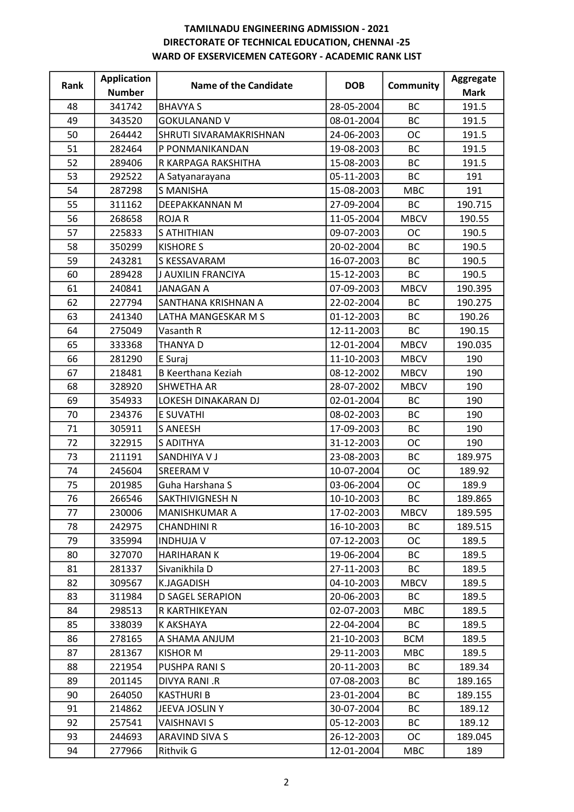| Rank | <b>Application</b> | <b>Name of the Candidate</b> | <b>DOB</b> | <b>Community</b> | Aggregate   |
|------|--------------------|------------------------------|------------|------------------|-------------|
|      | <b>Number</b>      |                              |            |                  | <b>Mark</b> |
| 48   | 341742             | <b>BHAVYA S</b>              | 28-05-2004 | ВC               | 191.5       |
| 49   | 343520             | <b>GOKULANAND V</b>          | 08-01-2004 | <b>BC</b>        | 191.5       |
| 50   | 264442             | SHRUTI SIVARAMAKRISHNAN      | 24-06-2003 | <b>OC</b>        | 191.5       |
| 51   | 282464             | P PONMANIKANDAN              | 19-08-2003 | <b>BC</b>        | 191.5       |
| 52   | 289406             | R KARPAGA RAKSHITHA          | 15-08-2003 | BC               | 191.5       |
| 53   | 292522             | A Satyanarayana              | 05-11-2003 | <b>BC</b>        | 191         |
| 54   | 287298             | <b>S MANISHA</b>             | 15-08-2003 | <b>MBC</b>       | 191         |
| 55   | 311162             | DEEPAKKANNAN M               | 27-09-2004 | <b>BC</b>        | 190.715     |
| 56   | 268658             | <b>ROJAR</b>                 | 11-05-2004 | <b>MBCV</b>      | 190.55      |
| 57   | 225833             | <b>S ATHITHIAN</b>           | 09-07-2003 | <b>OC</b>        | 190.5       |
| 58   | 350299             | <b>KISHORE S</b>             | 20-02-2004 | <b>BC</b>        | 190.5       |
| 59   | 243281             | S KESSAVARAM                 | 16-07-2003 | <b>BC</b>        | 190.5       |
| 60   | 289428             | J AUXILIN FRANCIYA           | 15-12-2003 | BC               | 190.5       |
| 61   | 240841             | <b>JANAGAN A</b>             | 07-09-2003 | <b>MBCV</b>      | 190.395     |
| 62   | 227794             | SANTHANA KRISHNAN A          | 22-02-2004 | <b>BC</b>        | 190.275     |
| 63   | 241340             | LATHA MANGESKAR M S          | 01-12-2003 | <b>BC</b>        | 190.26      |
| 64   | 275049             | Vasanth R                    | 12-11-2003 | BC               | 190.15      |
| 65   | 333368             | <b>THANYAD</b>               | 12-01-2004 | <b>MBCV</b>      | 190.035     |
| 66   | 281290             | E Suraj                      | 11-10-2003 | <b>MBCV</b>      | 190         |
| 67   | 218481             | <b>B Keerthana Keziah</b>    | 08-12-2002 | <b>MBCV</b>      | 190         |
| 68   | 328920             | <b>SHWETHA AR</b>            | 28-07-2002 | <b>MBCV</b>      | 190         |
| 69   | 354933             | LOKESH DINAKARAN DJ          | 02-01-2004 | <b>BC</b>        | 190         |
| 70   | 234376             | E SUVATHI                    | 08-02-2003 | <b>BC</b>        | 190         |
| 71   | 305911             | <b>S ANEESH</b>              | 17-09-2003 | BC               | 190         |
| 72   | 322915             | S ADITHYA                    | 31-12-2003 | <b>OC</b>        | 190         |
| 73   | 211191             | SANDHIYA V J                 | 23-08-2003 | <b>BC</b>        | 189.975     |
| 74   | 245604             | SREERAM V                    | 10-07-2004 | <b>OC</b>        | 189.92      |
| 75   | 201985             | Guha Harshana S              | 03-06-2004 | <b>OC</b>        | 189.9       |
| 76   | 266546             | SAKTHIVIGNESH N              | 10-10-2003 | <b>BC</b>        | 189.865     |
| 77   | 230006             | MANISHKUMAR A                | 17-02-2003 | <b>MBCV</b>      | 189.595     |
| 78   | 242975             | <b>CHANDHINI R</b>           | 16-10-2003 | ВC               | 189.515     |
| 79   | 335994             | <b>INDHUJA V</b>             | 07-12-2003 | ОC               | 189.5       |
| 80   | 327070             | <b>HARIHARAN K</b>           | 19-06-2004 | <b>BC</b>        | 189.5       |
| 81   | 281337             | Sivanikhila D                | 27-11-2003 | ВC               | 189.5       |
| 82   | 309567             | K.JAGADISH                   | 04-10-2003 | <b>MBCV</b>      | 189.5       |
| 83   | 311984             | D SAGEL SERAPION             | 20-06-2003 | ВC               | 189.5       |
| 84   | 298513             | R KARTHIKEYAN                | 02-07-2003 | <b>MBC</b>       | 189.5       |
| 85   | 338039             | K AKSHAYA                    | 22-04-2004 | <b>BC</b>        | 189.5       |
| 86   | 278165             | A SHAMA ANJUM                | 21-10-2003 | <b>BCM</b>       | 189.5       |
| 87   | 281367             | KISHOR M                     | 29-11-2003 | <b>MBC</b>       | 189.5       |
| 88   | 221954             | PUSHPA RANI S                | 20-11-2003 | ВC               | 189.34      |
| 89   | 201145             | DIVYA RANI .R                | 07-08-2003 | <b>BC</b>        | 189.165     |
| 90   | 264050             | <b>KASTHURI B</b>            | 23-01-2004 | <b>BC</b>        | 189.155     |
| 91   | 214862             | JEEVA JOSLINY                | 30-07-2004 | BC               | 189.12      |
| 92   | 257541             | <b>VAISHNAVI S</b>           | 05-12-2003 | BC               | 189.12      |
| 93   | 244693             | ARAVIND SIVA S               | 26-12-2003 | <b>OC</b>        | 189.045     |
| 94   | 277966             | Rithvik G                    | 12-01-2004 | <b>MBC</b>       | 189         |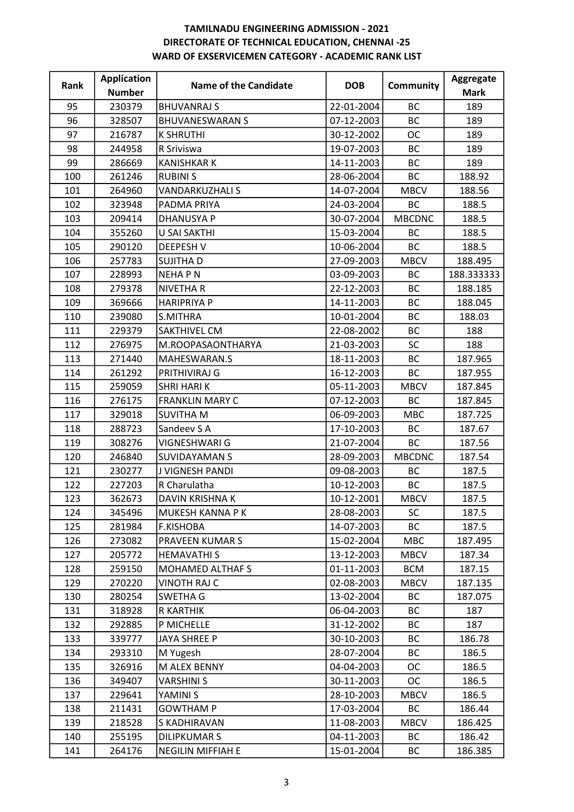| Rank | <b>Application</b> | Name of the Candidate  | <b>DOB</b> | <b>Community</b> | Aggregate   |
|------|--------------------|------------------------|------------|------------------|-------------|
|      | <b>Number</b>      |                        |            |                  | <b>Mark</b> |
| 95   | 230379             | <b>BHUVANRAJ S</b>     | 22-01-2004 | <b>BC</b>        | 189         |
| 96   | 328507             | <b>BHUVANESWARAN S</b> | 07-12-2003 | <b>BC</b>        | 189         |
| 97   | 216787             | <b>K SHRUTHI</b>       | 30-12-2002 | <b>OC</b>        | 189         |
| 98   | 244958             | R Sriviswa             | 19-07-2003 | <b>BC</b>        | 189         |
| 99   | 286669             | <b>KANISHKAR K</b>     | 14-11-2003 | BC               | 189         |
| 100  | 261246             | <b>RUBINIS</b>         | 28-06-2004 | BC               | 188.92      |
| 101  | 264960             | <b>VANDARKUZHALI S</b> | 14-07-2004 | <b>MBCV</b>      | 188.56      |
| 102  | 323948             | PADMA PRIYA            | 24-03-2004 | <b>BC</b>        | 188.5       |
| 103  | 209414             | <b>DHANUSYA P</b>      | 30-07-2004 | <b>MBCDNC</b>    | 188.5       |
| 104  | 355260             | U SAI SAKTHI           | 15-03-2004 | BC               | 188.5       |
| 105  | 290120             | <b>DEEPESH V</b>       | 10-06-2004 | <b>BC</b>        | 188.5       |
| 106  | 257783             | <b>SUJITHAD</b>        | 27-09-2003 | <b>MBCV</b>      | 188.495     |
| 107  | 228993             | <b>NEHAPN</b>          | 03-09-2003 | ВC               | 188.333333  |
| 108  | 279378             | <b>NIVETHAR</b>        | 22-12-2003 | <b>BC</b>        | 188.185     |
| 109  | 369666             | <b>HARIPRIYA P</b>     | 14-11-2003 | BC               | 188.045     |
| 110  | 239080             | S.MITHRA               | 10-01-2004 | BC               | 188.03      |
| 111  | 229379             | SAKTHIVEL CM           | 22-08-2002 | <b>BC</b>        | 188         |
| 112  | 276975             | M.ROOPASAONTHARYA      | 21-03-2003 | <b>SC</b>        | 188         |
| 113  | 271440             | MAHESWARAN.S           | 18-11-2003 | <b>BC</b>        | 187.965     |
| 114  | 261292             | PRITHIVIRAJ G          | 16-12-2003 | <b>BC</b>        | 187.955     |
| 115  | 259059             | <b>SHRI HARI K</b>     | 05-11-2003 | <b>MBCV</b>      | 187.845     |
| 116  | 276175             | <b>FRANKLIN MARY C</b> | 07-12-2003 | <b>BC</b>        | 187.845     |
| 117  | 329018             | <b>SUVITHA M</b>       | 06-09-2003 | <b>MBC</b>       | 187.725     |
| 118  | 288723             | Sandeev S A            | 17-10-2003 | <b>BC</b>        | 187.67      |
| 119  | 308276             | VIGNESHWARI G          | 21-07-2004 | BC               | 187.56      |
| 120  | 246840             | <b>SUVIDAYAMAN S</b>   | 28-09-2003 | <b>MBCDNC</b>    | 187.54      |
| 121  | 230277             | J VIGNESH PANDI        | 09-08-2003 | ВC               | 187.5       |
| 122  | 227203             | R Charulatha           | 10-12-2003 | <b>BC</b>        | 187.5       |
| 123  | 362673             | <b>DAVIN KRISHNA K</b> | 10-12-2001 | <b>MBCV</b>      | 187.5       |
| 124  | 345496             | MUKESH KANNA P K       | 28-08-2003 | <b>SC</b>        | 187.5       |
| 125  | 281984             | <b>F.KISHOBA</b>       | 14-07-2003 | BC               | 187.5       |
| 126  | 273082             | PRAVEEN KUMAR S        | 15-02-2004 | <b>MBC</b>       | 187.495     |
| 127  | 205772             | <b>HEMAVATHI S</b>     | 13-12-2003 | <b>MBCV</b>      | 187.34      |
| 128  | 259150             | MOHAMED ALTHAF S       | 01-11-2003 | <b>BCM</b>       | 187.15      |
| 129  | 270220             | <b>VINOTH RAJ C</b>    | 02-08-2003 | <b>MBCV</b>      | 187.135     |
| 130  | 280254             | SWETHA G               | 13-02-2004 | <b>BC</b>        | 187.075     |
| 131  | 318928             | <b>R KARTHIK</b>       | 06-04-2003 | <b>BC</b>        | 187         |
| 132  | 292885             | P MICHELLE             | 31-12-2002 | <b>BC</b>        | 187         |
| 133  | 339777             | <b>JAYA SHREE P</b>    | 30-10-2003 | ВC               | 186.78      |
| 134  | 293310             | M Yugesh               | 28-07-2004 | <b>BC</b>        | 186.5       |
| 135  | 326916             | M ALEX BENNY           | 04-04-2003 | OC               | 186.5       |
| 136  | 349407             | <b>VARSHINI S</b>      | 30-11-2003 | OC.              | 186.5       |
| 137  | 229641             | YAMINI S               | 28-10-2003 | <b>MBCV</b>      | 186.5       |
| 138  | 211431             | <b>GOWTHAM P</b>       | 17-03-2004 | ВC               | 186.44      |
| 139  | 218528             | S KADHIRAVAN           | 11-08-2003 | <b>MBCV</b>      | 186.425     |
| 140  | 255195             | <b>DILIPKUMAR S</b>    | 04-11-2003 | ВC               | 186.42      |
| 141  | 264176             | NEGILIN MIFFIAH E      | 15-01-2004 | BC               | 186.385     |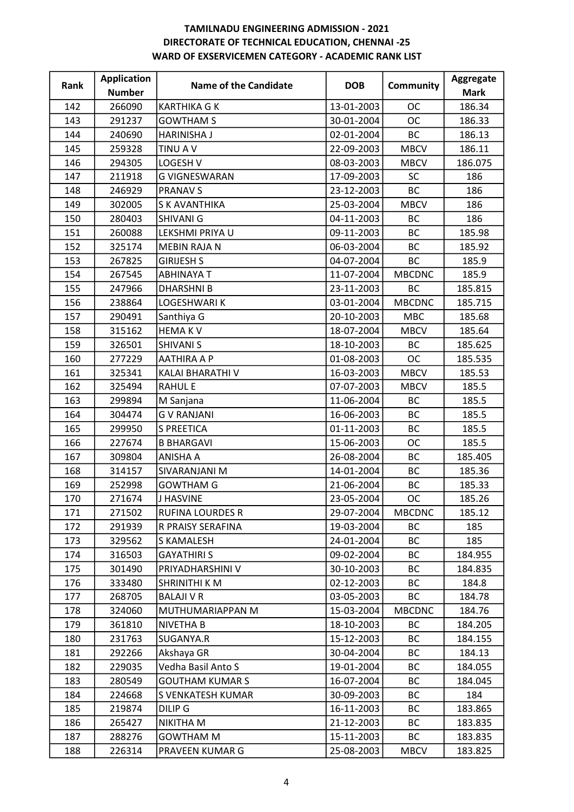| Rank | <b>Application</b> | <b>Name of the Candidate</b> | <b>DOB</b> | Community     | Aggregate   |
|------|--------------------|------------------------------|------------|---------------|-------------|
|      | <b>Number</b>      |                              |            |               | <b>Mark</b> |
| 142  | 266090             | <b>KARTHIKA G K</b>          | 13-01-2003 | <b>OC</b>     | 186.34      |
| 143  | 291237             | <b>GOWTHAM S</b>             | 30-01-2004 | <b>OC</b>     | 186.33      |
| 144  | 240690             | <b>HARINISHA J</b>           | 02-01-2004 | BC            | 186.13      |
| 145  | 259328             | <b>TINU AV</b>               | 22-09-2003 | <b>MBCV</b>   | 186.11      |
| 146  | 294305             | LOGESH V                     | 08-03-2003 | <b>MBCV</b>   | 186.075     |
| 147  | 211918             | <b>G VIGNESWARAN</b>         | 17-09-2003 | SC            | 186         |
| 148  | 246929             | <b>PRANAV S</b>              | 23-12-2003 | <b>BC</b>     | 186         |
| 149  | 302005             | S K AVANTHIKA                | 25-03-2004 | <b>MBCV</b>   | 186         |
| 150  | 280403             | SHIVANI G                    | 04-11-2003 | <b>BC</b>     | 186         |
| 151  | 260088             | LEKSHMI PRIYA U              | 09-11-2003 | BC            | 185.98      |
| 152  | 325174             | <b>MEBIN RAJA N</b>          | 06-03-2004 | <b>BC</b>     | 185.92      |
| 153  | 267825             | <b>GIRIJESH S</b>            | 04-07-2004 | BC            | 185.9       |
| 154  | 267545             | <b>ABHINAYA T</b>            | 11-07-2004 | <b>MBCDNC</b> | 185.9       |
| 155  | 247966             | <b>DHARSHNIB</b>             | 23-11-2003 | <b>BC</b>     | 185.815     |
| 156  | 238864             | LOGESHWARI K                 | 03-01-2004 | <b>MBCDNC</b> | 185.715     |
| 157  | 290491             | Santhiya G                   | 20-10-2003 | <b>MBC</b>    | 185.68      |
| 158  | 315162             | <b>HEMAKV</b>                | 18-07-2004 | <b>MBCV</b>   | 185.64      |
| 159  | 326501             | <b>SHIVANI S</b>             | 18-10-2003 | <b>BC</b>     | 185.625     |
| 160  | 277229             | <b>AATHIRA A P</b>           | 01-08-2003 | <b>OC</b>     | 185.535     |
| 161  | 325341             | KALAI BHARATHI V             | 16-03-2003 | <b>MBCV</b>   | 185.53      |
| 162  | 325494             | <b>RAHUL E</b>               | 07-07-2003 | <b>MBCV</b>   | 185.5       |
| 163  | 299894             | M Sanjana                    | 11-06-2004 | <b>BC</b>     | 185.5       |
| 164  | 304474             | <b>GV RANJANI</b>            | 16-06-2003 | <b>BC</b>     | 185.5       |
| 165  | 299950             | <b>S PREETICA</b>            | 01-11-2003 | BC            | 185.5       |
| 166  | 227674             | <b>B BHARGAVI</b>            | 15-06-2003 | <b>OC</b>     | 185.5       |
| 167  | 309804             | <b>ANISHA A</b>              | 26-08-2004 | BC            | 185.405     |
| 168  | 314157             | SIVARANJANI M                | 14-01-2004 | BC            | 185.36      |
| 169  | 252998             | <b>GOWTHAM G</b>             | 21-06-2004 | <b>BC</b>     | 185.33      |
| 170  | 271674             | <b>J HASVINE</b>             | 23-05-2004 | <b>OC</b>     | 185.26      |
| 171  | 271502             | <b>RUFINA LOURDES R</b>      | 29-07-2004 | <b>MBCDNC</b> | 185.12      |
| 172  | 291939             | R PRAISY SERAFINA            | 19-03-2004 | ВC            | 185         |
| 173  | 329562             | S KAMALESH                   | 24-01-2004 | <b>BC</b>     | 185         |
| 174  | 316503             | <b>GAYATHIRI S</b>           | 09-02-2004 | <b>BC</b>     | 184.955     |
| 175  | 301490             | PRIYADHARSHINI V             | 30-10-2003 | ВC            | 184.835     |
| 176  | 333480             | SHRINITHI K M                | 02-12-2003 | <b>BC</b>     | 184.8       |
| 177  | 268705             | <b>BALAJI V R</b>            | 03-05-2003 | ВC            | 184.78      |
| 178  | 324060             | MUTHUMARIAPPAN M             | 15-03-2004 | <b>MBCDNC</b> | 184.76      |
| 179  | 361810             | <b>NIVETHA B</b>             | 18-10-2003 | BC            | 184.205     |
| 180  | 231763             | SUGANYA.R                    | 15-12-2003 | ВC            | 184.155     |
| 181  | 292266             | Akshaya GR                   | 30-04-2004 | ВC            | 184.13      |
| 182  | 229035             | Vedha Basil Anto S           | 19-01-2004 | ВC            | 184.055     |
| 183  | 280549             | <b>GOUTHAM KUMAR S</b>       | 16-07-2004 | <b>BC</b>     | 184.045     |
| 184  | 224668             | S VENKATESH KUMAR            | 30-09-2003 | ВC            | 184         |
| 185  | 219874             | DILIP G                      | 16-11-2003 | ВC            | 183.865     |
| 186  | 265427             | NIKITHA M                    | 21-12-2003 | ВC            | 183.835     |
| 187  | 288276             | <b>GOWTHAM M</b>             | 15-11-2003 | ВC            | 183.835     |
| 188  | 226314             | PRAVEEN KUMAR G              | 25-08-2003 | <b>MBCV</b>   | 183.825     |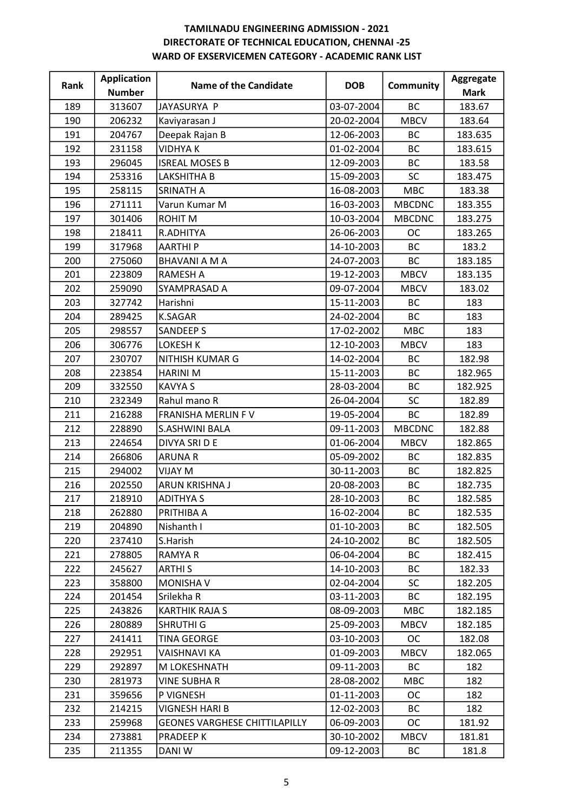| Rank | <b>Application</b> | <b>Name of the Candidate</b>         | <b>DOB</b> | <b>Community</b> | Aggregate   |
|------|--------------------|--------------------------------------|------------|------------------|-------------|
|      | <b>Number</b>      |                                      |            |                  | <b>Mark</b> |
| 189  | 313607             | JAYASURYA P                          | 03-07-2004 | <b>BC</b>        | 183.67      |
| 190  | 206232             | Kaviyarasan J                        | 20-02-2004 | <b>MBCV</b>      | 183.64      |
| 191  | 204767             | Deepak Rajan B                       | 12-06-2003 | <b>BC</b>        | 183.635     |
| 192  | 231158             | <b>VIDHYAK</b>                       | 01-02-2004 | <b>BC</b>        | 183.615     |
| 193  | 296045             | <b>ISREAL MOSES B</b>                | 12-09-2003 | BC               | 183.58      |
| 194  | 253316             | LAKSHITHA B                          | 15-09-2003 | SC               | 183.475     |
| 195  | 258115             | SRINATH A                            | 16-08-2003 | <b>MBC</b>       | 183.38      |
| 196  | 271111             | Varun Kumar M                        | 16-03-2003 | <b>MBCDNC</b>    | 183.355     |
| 197  | 301406             | ROHIT M                              | 10-03-2004 | <b>MBCDNC</b>    | 183.275     |
| 198  | 218411             | R.ADHITYA                            | 26-06-2003 | <b>OC</b>        | 183.265     |
| 199  | 317968             | <b>AARTHIP</b>                       | 14-10-2003 | <b>BC</b>        | 183.2       |
| 200  | 275060             | <b>BHAVANI A M A</b>                 | 24-07-2003 | BC               | 183.185     |
| 201  | 223809             | <b>RAMESH A</b>                      | 19-12-2003 | <b>MBCV</b>      | 183.135     |
| 202  | 259090             | SYAMPRASAD A                         | 09-07-2004 | <b>MBCV</b>      | 183.02      |
| 203  | 327742             | Harishni                             | 15-11-2003 | ВC               | 183         |
| 204  | 289425             | <b>K.SAGAR</b>                       | 24-02-2004 | <b>BC</b>        | 183         |
| 205  | 298557             | <b>SANDEEP S</b>                     | 17-02-2002 | <b>MBC</b>       | 183         |
| 206  | 306776             | <b>LOKESH K</b>                      | 12-10-2003 | <b>MBCV</b>      | 183         |
| 207  | 230707             | NITHISH KUMAR G                      | 14-02-2004 | <b>BC</b>        | 182.98      |
| 208  | 223854             | <b>HARINI M</b>                      | 15-11-2003 | <b>BC</b>        | 182.965     |
| 209  | 332550             | <b>KAVYA S</b>                       | 28-03-2004 | <b>BC</b>        | 182.925     |
| 210  | 232349             | Rahul mano R                         | 26-04-2004 | SC               | 182.89      |
| 211  | 216288             | FRANISHA MERLIN F V                  | 19-05-2004 | <b>BC</b>        | 182.89      |
| 212  | 228890             | <b>S.ASHWINI BALA</b>                | 09-11-2003 | <b>MBCDNC</b>    | 182.88      |
| 213  | 224654             | DIVYA SRI D E                        | 01-06-2004 | <b>MBCV</b>      | 182.865     |
| 214  | 266806             | <b>ARUNA R</b>                       | 05-09-2002 | <b>BC</b>        | 182.835     |
| 215  | 294002             | VIJAY M                              | 30-11-2003 | <b>BC</b>        | 182.825     |
| 216  | 202550             | ARUN KRISHNA J                       | 20-08-2003 | BC               | 182.735     |
| 217  | 218910             | <b>ADITHYAS</b>                      | 28-10-2003 | <b>BC</b>        | 182.585     |
| 218  | 262880             | PRITHIBA A                           | 16-02-2004 | BC               | 182.535     |
| 219  | 204890             | Nishanth I                           | 01-10-2003 | BC               | 182.505     |
| 220  | 237410             | S.Harish                             | 24-10-2002 | BC               | 182.505     |
| 221  | 278805             | <b>RAMYAR</b>                        | 06-04-2004 | <b>BC</b>        | 182.415     |
| 222  | 245627             | ARTHI S                              | 14-10-2003 | ВC               | 182.33      |
| 223  | 358800             | <b>MONISHA V</b>                     | 02-04-2004 | <b>SC</b>        | 182.205     |
| 224  | 201454             | Srilekha R                           | 03-11-2003 | ВC               | 182.195     |
| 225  | 243826             | <b>KARTHIK RAJA S</b>                | 08-09-2003 | <b>MBC</b>       | 182.185     |
| 226  | 280889             | <b>SHRUTHI G</b>                     | 25-09-2003 | <b>MBCV</b>      | 182.185     |
| 227  | 241411             | <b>TINA GEORGE</b>                   | 03-10-2003 | OC               | 182.08      |
| 228  | 292951             | <b>VAISHNAVI KA</b>                  | 01-09-2003 | <b>MBCV</b>      | 182.065     |
| 229  | 292897             | M LOKESHNATH                         | 09-11-2003 | ВC               | 182         |
| 230  | 281973             | <b>VINE SUBHA R</b>                  | 28-08-2002 | <b>MBC</b>       | 182         |
| 231  | 359656             | P VIGNESH                            | 01-11-2003 | <b>OC</b>        | 182         |
| 232  | 214215             | VIGNESH HARI B                       | 12-02-2003 | ВC               | 182         |
| 233  | 259968             | <b>GEONES VARGHESE CHITTILAPILLY</b> | 06-09-2003 | <b>OC</b>        | 181.92      |
| 234  | 273881             | PRADEEP K                            | 30-10-2002 | <b>MBCV</b>      | 181.81      |
| 235  | 211355             | DANI W                               | 09-12-2003 | ВC               | 181.8       |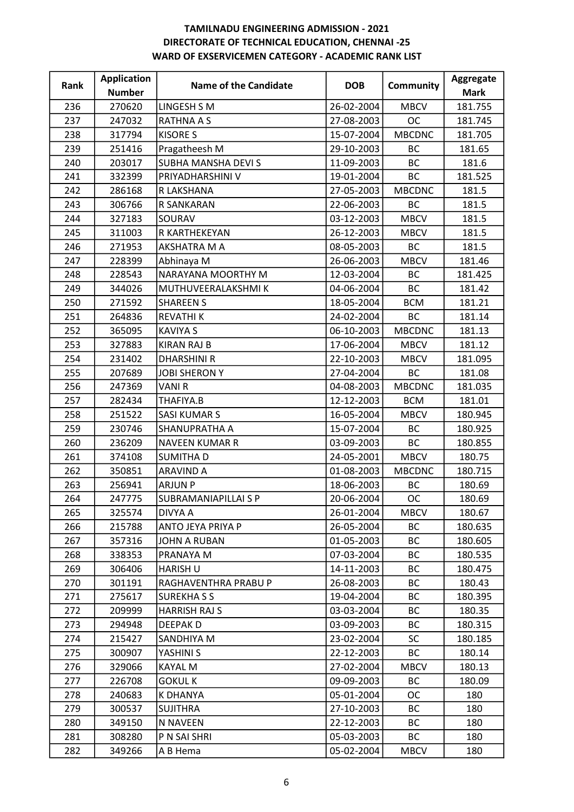| Rank | <b>Application</b> | Name of the Candidate | <b>DOB</b> | Community     | Aggregate   |
|------|--------------------|-----------------------|------------|---------------|-------------|
|      | <b>Number</b>      |                       |            |               | <b>Mark</b> |
| 236  | 270620             | LINGESH S M           | 26-02-2004 | <b>MBCV</b>   | 181.755     |
| 237  | 247032             | <b>RATHNA A S</b>     | 27-08-2003 | <b>OC</b>     | 181.745     |
| 238  | 317794             | <b>KISORE S</b>       | 15-07-2004 | <b>MBCDNC</b> | 181.705     |
| 239  | 251416             | Pragatheesh M         | 29-10-2003 | <b>BC</b>     | 181.65      |
| 240  | 203017             | SUBHA MANSHA DEVI S   | 11-09-2003 | BC            | 181.6       |
| 241  | 332399             | PRIYADHARSHINI V      | 19-01-2004 | <b>BC</b>     | 181.525     |
| 242  | 286168             | R LAKSHANA            | 27-05-2003 | <b>MBCDNC</b> | 181.5       |
| 243  | 306766             | R SANKARAN            | 22-06-2003 | BC            | 181.5       |
| 244  | 327183             | SOURAV                | 03-12-2003 | <b>MBCV</b>   | 181.5       |
| 245  | 311003             | R KARTHEKEYAN         | 26-12-2003 | <b>MBCV</b>   | 181.5       |
| 246  | 271953             | AKSHATRA M A          | 08-05-2003 | <b>BC</b>     | 181.5       |
| 247  | 228399             | Abhinaya M            | 26-06-2003 | <b>MBCV</b>   | 181.46      |
| 248  | 228543             | NARAYANA MOORTHY M    | 12-03-2004 | <b>BC</b>     | 181.425     |
| 249  | 344026             | MUTHUVEERALAKSHMI K   | 04-06-2004 | <b>BC</b>     | 181.42      |
| 250  | 271592             | <b>SHAREEN S</b>      | 18-05-2004 | <b>BCM</b>    | 181.21      |
| 251  | 264836             | <b>REVATHIK</b>       | 24-02-2004 | <b>BC</b>     | 181.14      |
| 252  | 365095             | <b>KAVIYA S</b>       | 06-10-2003 | <b>MBCDNC</b> | 181.13      |
| 253  | 327883             | <b>KIRAN RAJ B</b>    | 17-06-2004 | <b>MBCV</b>   | 181.12      |
| 254  | 231402             | <b>DHARSHINI R</b>    | 22-10-2003 | <b>MBCV</b>   | 181.095     |
| 255  | 207689             | <b>JOBI SHERON Y</b>  | 27-04-2004 | <b>BC</b>     | 181.08      |
| 256  | 247369             | <b>VANIR</b>          | 04-08-2003 | <b>MBCDNC</b> | 181.035     |
| 257  | 282434             | THAFIYA.B             | 12-12-2003 | <b>BCM</b>    | 181.01      |
| 258  | 251522             | <b>SASI KUMAR S</b>   | 16-05-2004 | <b>MBCV</b>   | 180.945     |
| 259  | 230746             | SHANUPRATHA A         | 15-07-2004 | BC            | 180.925     |
| 260  | 236209             | <b>NAVEEN KUMAR R</b> | 03-09-2003 | <b>BC</b>     | 180.855     |
| 261  | 374108             | <b>SUMITHAD</b>       | 24-05-2001 | <b>MBCV</b>   | 180.75      |
| 262  | 350851             | <b>ARAVIND A</b>      | 01-08-2003 | <b>MBCDNC</b> | 180.715     |
| 263  | 256941             | <b>ARJUN P</b>        | 18-06-2003 | BC            | 180.69      |
| 264  | 247775             | SUBRAMANIAPILLAI S P  | 20-06-2004 | <b>OC</b>     | 180.69      |
| 265  | 325574             | DIVYA A               | 26-01-2004 | <b>MBCV</b>   | 180.67      |
| 266  | 215788             | ANTO JEYA PRIYA P     | 26-05-2004 | BC            | 180.635     |
| 267  | 357316             | <b>JOHN A RUBAN</b>   | 01-05-2003 | <b>BC</b>     | 180.605     |
| 268  | 338353             | PRANAYA M             | 07-03-2004 | BC            | 180.535     |
| 269  | 306406             | <b>HARISH U</b>       | 14-11-2003 | ВC            | 180.475     |
| 270  | 301191             | RAGHAVENTHRA PRABU P  | 26-08-2003 | BC            | 180.43      |
| 271  | 275617             | <b>SUREKHASS</b>      | 19-04-2004 | BC            | 180.395     |
| 272  | 209999             | <b>HARRISH RAJ S</b>  | 03-03-2004 | ВC            | 180.35      |
| 273  | 294948             | <b>DEEPAKD</b>        | 03-09-2003 | <b>BC</b>     | 180.315     |
| 274  | 215427             | SANDHIYA M            | 23-02-2004 | SC            | 180.185     |
| 275  | 300907             | YASHINI S             | 22-12-2003 | <b>BC</b>     | 180.14      |
| 276  | 329066             | <b>KAYAL M</b>        | 27-02-2004 | <b>MBCV</b>   | 180.13      |
| 277  | 226708             | <b>GOKULK</b>         | 09-09-2003 | <b>BC</b>     | 180.09      |
| 278  | 240683             | <b>K DHANYA</b>       | 05-01-2004 | <b>OC</b>     | 180         |
| 279  | 300537             | <b>SUJITHRA</b>       | 27-10-2003 | BC            | 180         |
| 280  | 349150             | N NAVEEN              | 22-12-2003 | <b>BC</b>     | 180         |
| 281  | 308280             | P N SAI SHRI          | 05-03-2003 | ВC            | 180         |
| 282  | 349266             | A B Hema              | 05-02-2004 | <b>MBCV</b>   | 180         |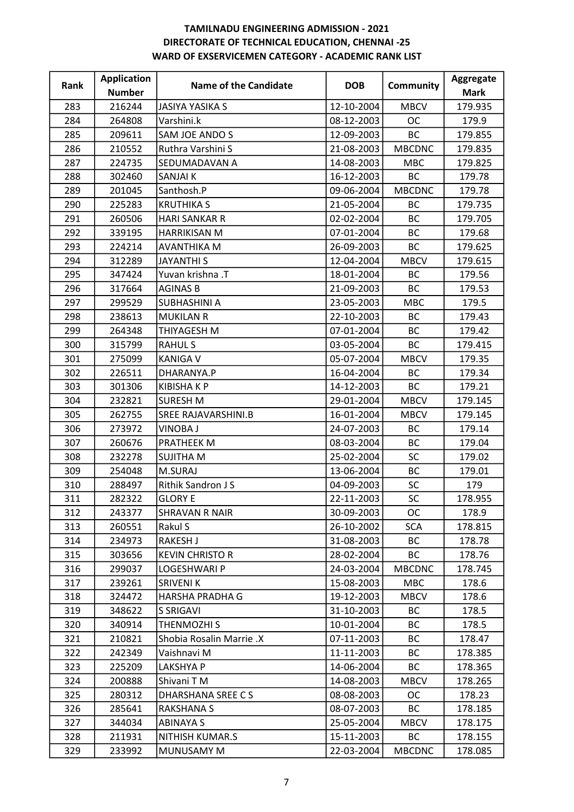| Rank | <b>Application</b> | Name of the Candidate    | <b>DOB</b> | <b>Community</b> | Aggregate   |
|------|--------------------|--------------------------|------------|------------------|-------------|
|      | <b>Number</b>      |                          |            |                  | <b>Mark</b> |
| 283  | 216244             | <b>JASIYA YASIKA S</b>   | 12-10-2004 | <b>MBCV</b>      | 179.935     |
| 284  | 264808             | Varshini.k               | 08-12-2003 | <b>OC</b>        | 179.9       |
| 285  | 209611             | SAM JOE ANDO S           | 12-09-2003 | BC               | 179.855     |
| 286  | 210552             | Ruthra Varshini S        | 21-08-2003 | <b>MBCDNC</b>    | 179.835     |
| 287  | 224735             | SEDUMADAVAN A            | 14-08-2003 | <b>MBC</b>       | 179.825     |
| 288  | 302460             | SANJAI K                 | 16-12-2003 | <b>BC</b>        | 179.78      |
| 289  | 201045             | Santhosh.P               | 09-06-2004 | <b>MBCDNC</b>    | 179.78      |
| 290  | 225283             | <b>KRUTHIKA S</b>        | 21-05-2004 | <b>BC</b>        | 179.735     |
| 291  | 260506             | <b>HARI SANKAR R</b>     | 02-02-2004 | <b>BC</b>        | 179.705     |
| 292  | 339195             | HARRIKISAN M             | 07-01-2004 | <b>BC</b>        | 179.68      |
| 293  | 224214             | <b>AVANTHIKA M</b>       | 26-09-2003 | <b>BC</b>        | 179.625     |
| 294  | 312289             | <b>JAYANTHIS</b>         | 12-04-2004 | <b>MBCV</b>      | 179.615     |
| 295  | 347424             | Yuvan krishna .T         | 18-01-2004 | BC               | 179.56      |
| 296  | 317664             | <b>AGINAS B</b>          | 21-09-2003 | <b>BC</b>        | 179.53      |
| 297  | 299529             | <b>SUBHASHINI A</b>      | 23-05-2003 | <b>MBC</b>       | 179.5       |
| 298  | 238613             | <b>MUKILAN R</b>         | 22-10-2003 | BC               | 179.43      |
| 299  | 264348             | THIYAGESH M              | 07-01-2004 | <b>BC</b>        | 179.42      |
| 300  | 315799             | <b>RAHUL S</b>           | 03-05-2004 | <b>BC</b>        | 179.415     |
| 301  | 275099             | <b>KANIGA V</b>          | 05-07-2004 | <b>MBCV</b>      | 179.35      |
| 302  | 226511             | DHARANYA.P               | 16-04-2004 | <b>BC</b>        | 179.34      |
| 303  | 301306             | <b>KIBISHAKP</b>         | 14-12-2003 | <b>BC</b>        | 179.21      |
| 304  | 232821             | <b>SURESH M</b>          | 29-01-2004 | <b>MBCV</b>      | 179.145     |
| 305  | 262755             | SREE RAJAVARSHINI.B      | 16-01-2004 | <b>MBCV</b>      | 179.145     |
| 306  | 273972             | <b>VINOBA J</b>          | 24-07-2003 | <b>BC</b>        | 179.14      |
| 307  | 260676             | PRATHEEK M               | 08-03-2004 | <b>BC</b>        | 179.04      |
| 308  | 232278             | <b>SUJITHA M</b>         | 25-02-2004 | SC               | 179.02      |
| 309  | 254048             | M.SURAJ                  | 13-06-2004 | BC               | 179.01      |
| 310  | 288497             | Rithik Sandron J S       | 04-09-2003 | SC               | 179         |
| 311  | 282322             | <b>GLORY E</b>           | 22-11-2003 | <b>SC</b>        | 178.955     |
| 312  | 243377             | <b>SHRAVAN R NAIR</b>    | 30-09-2003 | <b>OC</b>        | 178.9       |
| 313  | 260551             | Rakul S                  | 26-10-2002 | <b>SCA</b>       | 178.815     |
| 314  | 234973             | <b>RAKESH J</b>          | 31-08-2003 | <b>BC</b>        | 178.78      |
| 315  | 303656             | <b>KEVIN CHRISTO R</b>   | 28-02-2004 | <b>BC</b>        | 178.76      |
| 316  | 299037             | LOGESHWARI P             | 24-03-2004 | <b>MBCDNC</b>    | 178.745     |
| 317  | 239261             | <b>SRIVENIK</b>          | 15-08-2003 | <b>MBC</b>       | 178.6       |
| 318  | 324472             | HARSHA PRADHA G          | 19-12-2003 | <b>MBCV</b>      | 178.6       |
| 319  | 348622             | <b>S SRIGAVI</b>         | 31-10-2003 | BC               | 178.5       |
| 320  | 340914             | THENMOZHI S              | 10-01-2004 | <b>BC</b>        | 178.5       |
| 321  | 210821             | Shobia Rosalin Marrie .X | 07-11-2003 | ВC               | 178.47      |
| 322  | 242349             | Vaishnavi M              | 11-11-2003 | <b>BC</b>        | 178.385     |
| 323  | 225209             | LAKSHYA P                | 14-06-2004 | ВC               | 178.365     |
| 324  | 200888             | Shivani TM               | 14-08-2003 | <b>MBCV</b>      | 178.265     |
| 325  | 280312             | <b>DHARSHANA SREE CS</b> | 08-08-2003 | ОC               | 178.23      |
| 326  | 285641             | RAKSHANA S               | 08-07-2003 | BC               | 178.185     |
| 327  | 344034             | <b>ABINAYA S</b>         | 25-05-2004 | <b>MBCV</b>      | 178.175     |
| 328  | 211931             | NITHISH KUMAR.S          | 15-11-2003 | <b>BC</b>        | 178.155     |
| 329  | 233992             | MUNUSAMY M               | 22-03-2004 | <b>MBCDNC</b>    | 178.085     |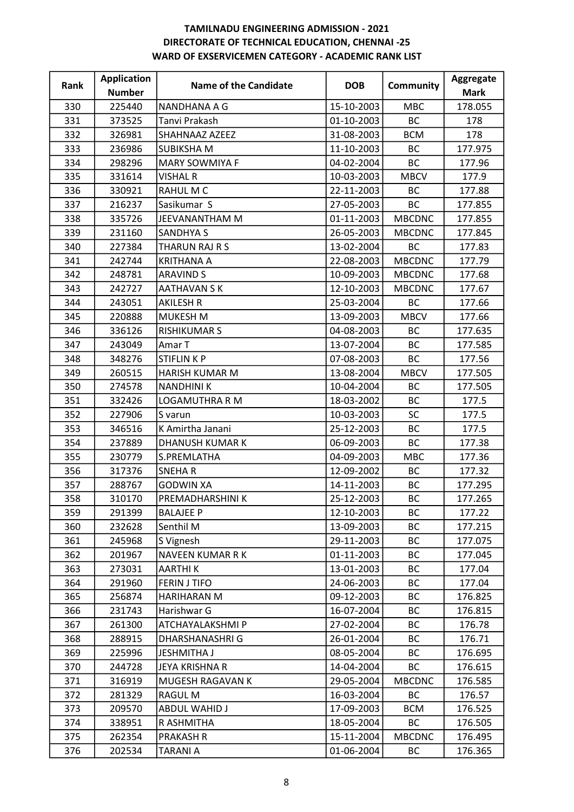| Rank | <b>Application</b> | Name of the Candidate  | <b>DOB</b> | <b>Community</b> | Aggregate   |
|------|--------------------|------------------------|------------|------------------|-------------|
|      | <b>Number</b>      |                        |            |                  | <b>Mark</b> |
| 330  | 225440             | NANDHANA A G           | 15-10-2003 | <b>MBC</b>       | 178.055     |
| 331  | 373525             | Tanvi Prakash          | 01-10-2003 | <b>BC</b>        | 178         |
| 332  | 326981             | SHAHNAAZ AZEEZ         | 31-08-2003 | <b>BCM</b>       | 178         |
| 333  | 236986             | <b>SUBIKSHAM</b>       | 11-10-2003 | <b>BC</b>        | 177.975     |
| 334  | 298296             | <b>MARY SOWMIYA F</b>  | 04-02-2004 | <b>BC</b>        | 177.96      |
| 335  | 331614             | <b>VISHAL R</b>        | 10-03-2003 | <b>MBCV</b>      | 177.9       |
| 336  | 330921             | RAHUL M C              | 22-11-2003 | <b>BC</b>        | 177.88      |
| 337  | 216237             | Sasikumar S            | 27-05-2003 | <b>BC</b>        | 177.855     |
| 338  | 335726             | JEEVANANTHAM M         | 01-11-2003 | <b>MBCDNC</b>    | 177.855     |
| 339  | 231160             | <b>SANDHYA S</b>       | 26-05-2003 | <b>MBCDNC</b>    | 177.845     |
| 340  | 227384             | THARUN RAJ R S         | 13-02-2004 | <b>BC</b>        | 177.83      |
| 341  | 242744             | <b>KRITHANA A</b>      | 22-08-2003 | <b>MBCDNC</b>    | 177.79      |
| 342  | 248781             | <b>ARAVIND S</b>       | 10-09-2003 | <b>MBCDNC</b>    | 177.68      |
| 343  | 242727             | <b>AATHAVAN S K</b>    | 12-10-2003 | <b>MBCDNC</b>    | 177.67      |
| 344  | 243051             | <b>AKILESH R</b>       | 25-03-2004 | BC               | 177.66      |
| 345  | 220888             | <b>MUKESH M</b>        | 13-09-2003 | <b>MBCV</b>      | 177.66      |
| 346  | 336126             | <b>RISHIKUMAR S</b>    | 04-08-2003 | <b>BC</b>        | 177.635     |
| 347  | 243049             | Amar T                 | 13-07-2004 | <b>BC</b>        | 177.585     |
| 348  | 348276             | <b>STIFLINKP</b>       | 07-08-2003 | <b>BC</b>        | 177.56      |
| 349  | 260515             | <b>HARISH KUMAR M</b>  | 13-08-2004 | <b>MBCV</b>      | 177.505     |
| 350  | 274578             | <b>NANDHINIK</b>       | 10-04-2004 | <b>BC</b>        | 177.505     |
| 351  | 332426             | <b>LOGAMUTHRA R M</b>  | 18-03-2002 | BC               | 177.5       |
| 352  | 227906             | S varun                | 10-03-2003 | <b>SC</b>        | 177.5       |
| 353  | 346516             | K Amirtha Janani       | 25-12-2003 | <b>BC</b>        | 177.5       |
| 354  | 237889             | <b>DHANUSH KUMAR K</b> | 06-09-2003 | <b>BC</b>        | 177.38      |
| 355  | 230779             | S.PREMLATHA            | 04-09-2003 | <b>MBC</b>       | 177.36      |
| 356  | 317376             | <b>SNEHAR</b>          | 12-09-2002 | BC               | 177.32      |
| 357  | 288767             | <b>GODWIN XA</b>       | 14-11-2003 | BC               | 177.295     |
| 358  | 310170             | PREMADHARSHINI K       | 25-12-2003 | <b>BC</b>        | 177.265     |
| 359  | 291399             | <b>BALAJEE P</b>       | 12-10-2003 | ВC               | 177.22      |
| 360  | 232628             | Senthil M              | 13-09-2003 | BC               | 177.215     |
| 361  | 245968             | S Vignesh              | 29-11-2003 | BC               | 177.075     |
| 362  | 201967             | NAVEEN KUMAR R K       | 01-11-2003 | <b>BC</b>        | 177.045     |
| 363  | 273031             | AARTHI K               | 13-01-2003 | BC               | 177.04      |
| 364  | 291960             | <b>FERIN J TIFO</b>    | 24-06-2003 | BC               | 177.04      |
| 365  | 256874             | HARIHARAN M            | 09-12-2003 | BC               | 176.825     |
| 366  | 231743             | Harishwar G            | 16-07-2004 | BC               | 176.815     |
| 367  | 261300             | ATCHAYALAKSHMI P       | 27-02-2004 | BC               | 176.78      |
| 368  | 288915             | DHARSHANASHRI G        | 26-01-2004 | BC               | 176.71      |
| 369  | 225996             | <b>JESHMITHA J</b>     | 08-05-2004 | BC               | 176.695     |
| 370  | 244728             | JEYA KRISHNA R         | 14-04-2004 | BC               | 176.615     |
| 371  | 316919             | MUGESH RAGAVAN K       | 29-05-2004 | <b>MBCDNC</b>    | 176.585     |
| 372  | 281329             | RAGUL M                | 16-03-2004 | <b>BC</b>        | 176.57      |
| 373  | 209570             | <b>ABDUL WAHID J</b>   | 17-09-2003 | <b>BCM</b>       | 176.525     |
| 374  | 338951             | R ASHMITHA             | 18-05-2004 | <b>BC</b>        | 176.505     |
| 375  | 262354             | <b>PRAKASH R</b>       | 15-11-2004 | <b>MBCDNC</b>    | 176.495     |
| 376  | 202534             | <b>TARANI A</b>        | 01-06-2004 | BC               | 176.365     |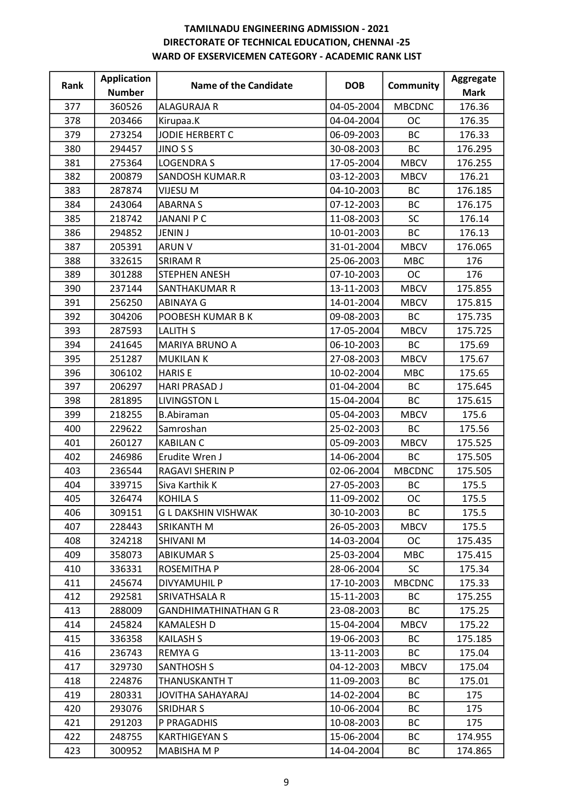| Rank | <b>Application</b> | <b>Name of the Candidate</b> | <b>DOB</b> | <b>Community</b> | Aggregate   |
|------|--------------------|------------------------------|------------|------------------|-------------|
|      | <b>Number</b>      |                              |            |                  | <b>Mark</b> |
| 377  | 360526             | <b>ALAGURAJA R</b>           | 04-05-2004 | <b>MBCDNC</b>    | 176.36      |
| 378  | 203466             | Kirupaa.K                    | 04-04-2004 | <b>OC</b>        | 176.35      |
| 379  | 273254             | JODIE HERBERT C              | 06-09-2003 | BC               | 176.33      |
| 380  | 294457             | <b>JINO S S</b>              | 30-08-2003 | <b>BC</b>        | 176.295     |
| 381  | 275364             | <b>LOGENDRAS</b>             | 17-05-2004 | <b>MBCV</b>      | 176.255     |
| 382  | 200879             | <b>SANDOSH KUMAR.R</b>       | 03-12-2003 | <b>MBCV</b>      | 176.21      |
| 383  | 287874             | <b>VIJESU M</b>              | 04-10-2003 | <b>BC</b>        | 176.185     |
| 384  | 243064             | <b>ABARNAS</b>               | 07-12-2003 | <b>BC</b>        | 176.175     |
| 385  | 218742             | <b>JANANI P C</b>            | 11-08-2003 | SC               | 176.14      |
| 386  | 294852             | <b>JENIN J</b>               | 10-01-2003 | ВC               | 176.13      |
| 387  | 205391             | <b>ARUN V</b>                | 31-01-2004 | <b>MBCV</b>      | 176.065     |
| 388  | 332615             | <b>SRIRAM R</b>              | 25-06-2003 | <b>MBC</b>       | 176         |
| 389  | 301288             | <b>STEPHEN ANESH</b>         | 07-10-2003 | <b>OC</b>        | 176         |
| 390  | 237144             | SANTHAKUMAR R                | 13-11-2003 | <b>MBCV</b>      | 175.855     |
| 391  | 256250             | <b>ABINAYA G</b>             | 14-01-2004 | <b>MBCV</b>      | 175.815     |
| 392  | 304206             | POOBESH KUMAR B K            | 09-08-2003 | <b>BC</b>        | 175.735     |
| 393  | 287593             | <b>LALITH S</b>              | 17-05-2004 | <b>MBCV</b>      | 175.725     |
| 394  | 241645             | MARIYA BRUNO A               | 06-10-2003 | <b>BC</b>        | 175.69      |
| 395  | 251287             | <b>MUKILAN K</b>             | 27-08-2003 | <b>MBCV</b>      | 175.67      |
| 396  | 306102             | <b>HARIS E</b>               | 10-02-2004 | <b>MBC</b>       | 175.65      |
| 397  | 206297             | <b>HARI PRASAD J</b>         | 01-04-2004 | <b>BC</b>        | 175.645     |
| 398  | 281895             | <b>LIVINGSTON L</b>          | 15-04-2004 | BC               | 175.615     |
| 399  | 218255             | <b>B.Abiraman</b>            | 05-04-2003 | <b>MBCV</b>      | 175.6       |
| 400  | 229622             | Samroshan                    | 25-02-2003 | <b>BC</b>        | 175.56      |
| 401  | 260127             | <b>KABILAN C</b>             | 05-09-2003 | <b>MBCV</b>      | 175.525     |
| 402  | 246986             | Erudite Wren J               | 14-06-2004 | <b>BC</b>        | 175.505     |
| 403  | 236544             | <b>RAGAVI SHERIN P</b>       | 02-06-2004 | <b>MBCDNC</b>    | 175.505     |
| 404  | 339715             | Siva Karthik K               | 27-05-2003 | BC               | 175.5       |
| 405  | 326474             | <b>KOHILA S</b>              | 11-09-2002 | <b>OC</b>        | 175.5       |
| 406  | 309151             | <b>GL DAKSHIN VISHWAK</b>    | 30-10-2003 | BC               | 175.5       |
| 407  | 228443             | SRIKANTH M                   | 26-05-2003 | <b>MBCV</b>      | 175.5       |
| 408  | 324218             | SHIVANI M                    | 14-03-2004 | <b>OC</b>        | 175.435     |
| 409  | 358073             | <b>ABIKUMAR S</b>            | 25-03-2004 | <b>MBC</b>       | 175.415     |
| 410  | 336331             | ROSEMITHA P                  | 28-06-2004 | <b>SC</b>        | 175.34      |
| 411  | 245674             | DIVYAMUHIL P                 | 17-10-2003 | <b>MBCDNC</b>    | 175.33      |
| 412  | 292581             | SRIVATHSALA R                | 15-11-2003 | ВC               | 175.255     |
| 413  | 288009             | <b>GANDHIMATHINATHAN G R</b> | 23-08-2003 | <b>BC</b>        | 175.25      |
| 414  | 245824             | <b>KAMALESH D</b>            | 15-04-2004 | <b>MBCV</b>      | 175.22      |
| 415  | 336358             | KAILASH S                    | 19-06-2003 | ВC               | 175.185     |
| 416  | 236743             | <b>REMYAG</b>                | 13-11-2003 | <b>BC</b>        | 175.04      |
| 417  | 329730             | <b>SANTHOSH S</b>            | 04-12-2003 | <b>MBCV</b>      | 175.04      |
| 418  | 224876             | THANUSKANTH T                | 11-09-2003 | <b>BC</b>        | 175.01      |
| 419  | 280331             | JOVITHA SAHAYARAJ            | 14-02-2004 | <b>BC</b>        | 175         |
| 420  | 293076             | <b>SRIDHAR S</b>             | 10-06-2004 | <b>BC</b>        | 175         |
| 421  | 291203             | P PRAGADHIS                  | 10-08-2003 | BC               | 175         |
| 422  | 248755             | <b>KARTHIGEYAN S</b>         | 15-06-2004 | BC               | 174.955     |
| 423  | 300952             | MABISHA M P                  | 14-04-2004 | ВC               | 174.865     |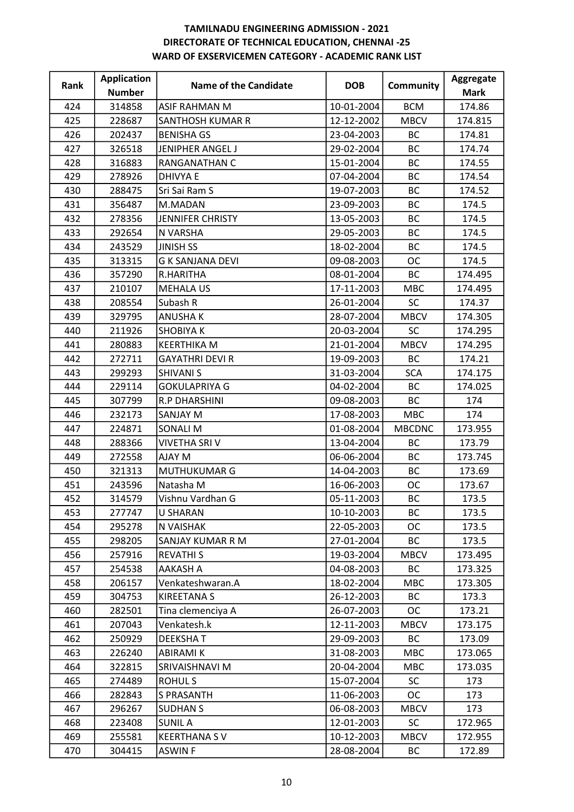| Rank | <b>Application</b> | <b>Name of the Candidate</b> | <b>DOB</b> | <b>Community</b> | Aggregate   |
|------|--------------------|------------------------------|------------|------------------|-------------|
|      | <b>Number</b>      |                              |            |                  | <b>Mark</b> |
| 424  | 314858             | ASIF RAHMAN M                | 10-01-2004 | <b>BCM</b>       | 174.86      |
| 425  | 228687             | SANTHOSH KUMAR R             | 12-12-2002 | <b>MBCV</b>      | 174.815     |
| 426  | 202437             | <b>BENISHA GS</b>            | 23-04-2003 | BC               | 174.81      |
| 427  | 326518             | JENIPHER ANGEL J             | 29-02-2004 | <b>BC</b>        | 174.74      |
| 428  | 316883             | RANGANATHAN C                | 15-01-2004 | <b>BC</b>        | 174.55      |
| 429  | 278926             | <b>DHIVYA E</b>              | 07-04-2004 | <b>BC</b>        | 174.54      |
| 430  | 288475             | Sri Sai Ram S                | 19-07-2003 | <b>BC</b>        | 174.52      |
| 431  | 356487             | M.MADAN                      | 23-09-2003 | <b>BC</b>        | 174.5       |
| 432  | 278356             | <b>JENNIFER CHRISTY</b>      | 13-05-2003 | <b>BC</b>        | 174.5       |
| 433  | 292654             | N VARSHA                     | 29-05-2003 | BC               | 174.5       |
| 434  | 243529             | <b>JINISH SS</b>             | 18-02-2004 | <b>BC</b>        | 174.5       |
| 435  | 313315             | <b>G K SANJANA DEVI</b>      | 09-08-2003 | <b>OC</b>        | 174.5       |
| 436  | 357290             | R.HARITHA                    | 08-01-2004 | BC               | 174.495     |
| 437  | 210107             | <b>MEHALA US</b>             | 17-11-2003 | <b>MBC</b>       | 174.495     |
| 438  | 208554             | Subash R                     | 26-01-2004 | <b>SC</b>        | 174.37      |
| 439  | 329795             | <b>ANUSHAK</b>               | 28-07-2004 | <b>MBCV</b>      | 174.305     |
| 440  | 211926             | <b>SHOBIYAK</b>              | 20-03-2004 | SC               | 174.295     |
| 441  | 280883             | <b>KEERTHIKA M</b>           | 21-01-2004 | <b>MBCV</b>      | 174.295     |
| 442  | 272711             | <b>GAYATHRI DEVI R</b>       | 19-09-2003 | <b>BC</b>        | 174.21      |
| 443  | 299293             | <b>SHIVANI S</b>             | 31-03-2004 | <b>SCA</b>       | 174.175     |
| 444  | 229114             | <b>GOKULAPRIYA G</b>         | 04-02-2004 | <b>BC</b>        | 174.025     |
| 445  | 307799             | <b>R.P DHARSHINI</b>         | 09-08-2003 | BC               | 174         |
| 446  | 232173             | <b>SANJAY M</b>              | 17-08-2003 | <b>MBC</b>       | 174         |
| 447  | 224871             | <b>SONALI M</b>              | 01-08-2004 | <b>MBCDNC</b>    | 173.955     |
| 448  | 288366             | VIVETHA SRI V                | 13-04-2004 | <b>BC</b>        | 173.79      |
| 449  | 272558             | AJAY M                       | 06-06-2004 | <b>BC</b>        | 173.745     |
| 450  | 321313             | <b>MUTHUKUMAR G</b>          | 14-04-2003 | <b>BC</b>        | 173.69      |
| 451  | 243596             | Natasha M                    | 16-06-2003 | <b>OC</b>        | 173.67      |
| 452  | 314579             | Vishnu Vardhan G             | 05-11-2003 | <b>BC</b>        | 173.5       |
| 453  | 277747             | <b>U SHARAN</b>              | 10-10-2003 | ВC               | 173.5       |
| 454  | 295278             | N VAISHAK                    | 22-05-2003 | OC               | 173.5       |
| 455  | 298205             | SANJAY KUMAR R M             | 27-01-2004 | <b>BC</b>        | 173.5       |
| 456  | 257916             | <b>REVATHIS</b>              | 19-03-2004 | <b>MBCV</b>      | 173.495     |
| 457  | 254538             | AAKASH A                     | 04-08-2003 | ВC               | 173.325     |
| 458  | 206157             | Venkateshwaran.A             | 18-02-2004 | <b>MBC</b>       | 173.305     |
| 459  | 304753             | <b>KIREETANAS</b>            | 26-12-2003 | ВC               | 173.3       |
| 460  | 282501             | Tina clemenciya A            | 26-07-2003 | <b>OC</b>        | 173.21      |
| 461  | 207043             | Venkatesh.k                  | 12-11-2003 | <b>MBCV</b>      | 173.175     |
| 462  | 250929             | <b>DEEKSHAT</b>              | 29-09-2003 | ВC               | 173.09      |
| 463  | 226240             | <b>ABIRAMIK</b>              | 31-08-2003 | <b>MBC</b>       | 173.065     |
| 464  | 322815             | SRIVAISHNAVI M               | 20-04-2004 | <b>MBC</b>       | 173.035     |
| 465  | 274489             | <b>ROHULS</b>                | 15-07-2004 | <b>SC</b>        | 173         |
| 466  | 282843             | <b>S PRASANTH</b>            | 11-06-2003 | <b>OC</b>        | 173         |
| 467  | 296267             | <b>SUDHAN S</b>              | 06-08-2003 | <b>MBCV</b>      | 173         |
| 468  | 223408             | <b>SUNIL A</b>               | 12-01-2003 | <b>SC</b>        | 172.965     |
| 469  | 255581             | <b>KEERTHANA SV</b>          | 10-12-2003 | <b>MBCV</b>      | 172.955     |
| 470  | 304415             | <b>ASWINF</b>                | 28-08-2004 | ВC               | 172.89      |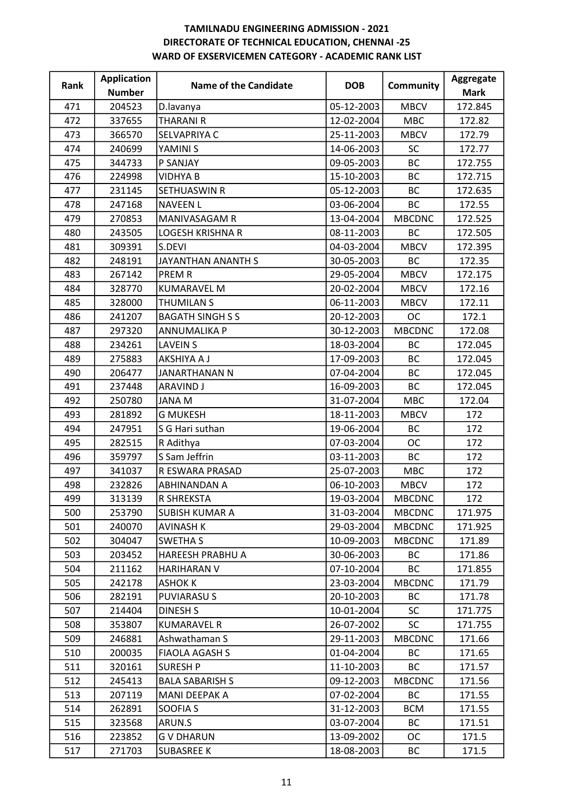| Rank | <b>Application</b> | Name of the Candidate   | <b>DOB</b> | <b>Community</b> | Aggregate   |
|------|--------------------|-------------------------|------------|------------------|-------------|
|      | <b>Number</b>      |                         |            |                  | <b>Mark</b> |
| 471  | 204523             | D.lavanya               | 05-12-2003 | <b>MBCV</b>      | 172.845     |
| 472  | 337655             | <b>THARANI R</b>        | 12-02-2004 | <b>MBC</b>       | 172.82      |
| 473  | 366570             | SELVAPRIYA C            | 25-11-2003 | <b>MBCV</b>      | 172.79      |
| 474  | 240699             | YAMINI S                | 14-06-2003 | <b>SC</b>        | 172.77      |
| 475  | 344733             | P SANJAY                | 09-05-2003 | <b>BC</b>        | 172.755     |
| 476  | 224998             | <b>VIDHYA B</b>         | 15-10-2003 | BC               | 172.715     |
| 477  | 231145             | <b>SETHUASWIN R</b>     | 05-12-2003 | <b>BC</b>        | 172.635     |
| 478  | 247168             | <b>NAVEEN L</b>         | 03-06-2004 | <b>BC</b>        | 172.55      |
| 479  | 270853             | MANIVASAGAM R           | 13-04-2004 | <b>MBCDNC</b>    | 172.525     |
| 480  | 243505             | <b>LOGESH KRISHNA R</b> | 08-11-2003 | <b>BC</b>        | 172.505     |
| 481  | 309391             | S.DEVI                  | 04-03-2004 | <b>MBCV</b>      | 172.395     |
| 482  | 248191             | JAYANTHAN ANANTH S      | 30-05-2003 | <b>BC</b>        | 172.35      |
| 483  | 267142             | <b>PREMR</b>            | 29-05-2004 | <b>MBCV</b>      | 172.175     |
| 484  | 328770             | <b>KUMARAVEL M</b>      | 20-02-2004 | <b>MBCV</b>      | 172.16      |
| 485  | 328000             | <b>THUMILAN S</b>       | 06-11-2003 | <b>MBCV</b>      | 172.11      |
| 486  | 241207             | <b>BAGATH SINGH S S</b> | 20-12-2003 | <b>OC</b>        | 172.1       |
| 487  | 297320             | <b>ANNUMALIKA P</b>     | 30-12-2003 | <b>MBCDNC</b>    | 172.08      |
| 488  | 234261             | <b>LAVEIN S</b>         | 18-03-2004 | <b>BC</b>        | 172.045     |
| 489  | 275883             | AKSHIYA A J             | 17-09-2003 | BC               | 172.045     |
| 490  | 206477             | JANARTHANAN N           | 07-04-2004 | <b>BC</b>        | 172.045     |
| 491  | 237448             | <b>ARAVIND J</b>        | 16-09-2003 | <b>BC</b>        | 172.045     |
| 492  | 250780             | <b>JANAM</b>            | 31-07-2004 | <b>MBC</b>       | 172.04      |
| 493  | 281892             | <b>G MUKESH</b>         | 18-11-2003 | <b>MBCV</b>      | 172         |
| 494  | 247951             | S G Hari suthan         | 19-06-2004 | <b>BC</b>        | 172         |
| 495  | 282515             | R Adithya               | 07-03-2004 | <b>OC</b>        | 172         |
| 496  | 359797             | S Sam Jeffrin           | 03-11-2003 | <b>BC</b>        | 172         |
| 497  | 341037             | R ESWARA PRASAD         | 25-07-2003 | <b>MBC</b>       | 172         |
| 498  | 232826             | <b>ABHINANDAN A</b>     | 06-10-2003 | <b>MBCV</b>      | 172         |
| 499  | 313139             | <b>R SHREKSTA</b>       | 19-03-2004 | <b>MBCDNC</b>    | 172         |
| 500  | 253790             | <b>SUBISH KUMAR A</b>   | 31-03-2004 | <b>MBCDNC</b>    | 171.975     |
| 501  | 240070             | <b>AVINASH K</b>        | 29-03-2004 | <b>MBCDNC</b>    | 171.925     |
| 502  | 304047             | <b>SWETHA S</b>         | 10-09-2003 | <b>MBCDNC</b>    | 171.89      |
| 503  | 203452             | <b>HAREESH PRABHU A</b> | 30-06-2003 | <b>BC</b>        | 171.86      |
| 504  | 211162             | HARIHARAN V             | 07-10-2004 | <b>BC</b>        | 171.855     |
| 505  | 242178             | <b>ASHOK K</b>          | 23-03-2004 | <b>MBCDNC</b>    | 171.79      |
| 506  | 282191             | <b>PUVIARASUS</b>       | 20-10-2003 | <b>BC</b>        | 171.78      |
| 507  | 214404             | <b>DINESH S</b>         | 10-01-2004 | <b>SC</b>        | 171.775     |
| 508  | 353807             | <b>KUMARAVEL R</b>      | 26-07-2002 | <b>SC</b>        | 171.755     |
| 509  | 246881             | Ashwathaman S           | 29-11-2003 | <b>MBCDNC</b>    | 171.66      |
| 510  | 200035             | <b>FIAOLA AGASH S</b>   | 01-04-2004 | <b>BC</b>        | 171.65      |
| 511  | 320161             | <b>SURESH P</b>         | 11-10-2003 | BC               | 171.57      |
| 512  | 245413             | <b>BALA SABARISH S</b>  | 09-12-2003 | <b>MBCDNC</b>    | 171.56      |
| 513  | 207119             | MANI DEEPAK A           | 07-02-2004 | <b>BC</b>        | 171.55      |
| 514  | 262891             | SOOFIA S                | 31-12-2003 | <b>BCM</b>       | 171.55      |
| 515  | 323568             | ARUN.S                  | 03-07-2004 | <b>BC</b>        | 171.51      |
| 516  | 223852             | <b>GV DHARUN</b>        | 13-09-2002 | ОC               | 171.5       |
| 517  | 271703             | <b>SUBASREE K</b>       | 18-08-2003 | ВC               | 171.5       |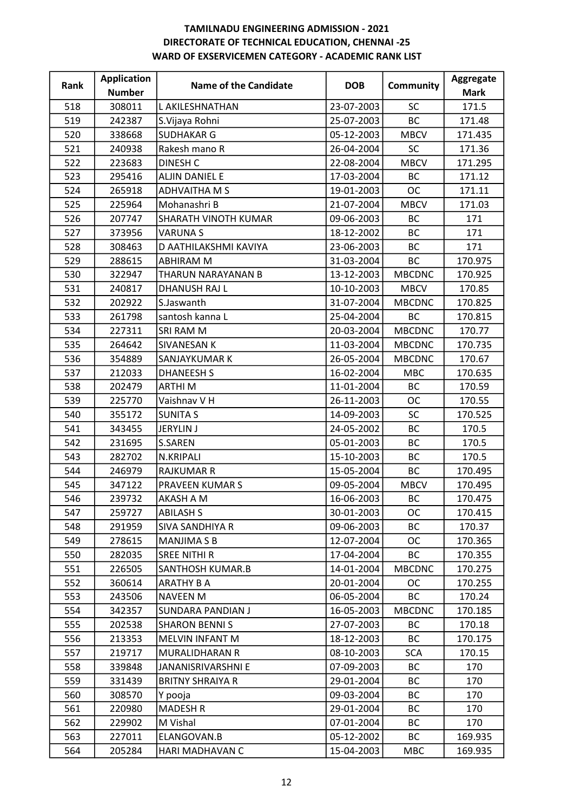| Rank | <b>Application</b> | <b>Name of the Candidate</b> | <b>DOB</b> | Community     | Aggregate   |
|------|--------------------|------------------------------|------------|---------------|-------------|
|      | <b>Number</b>      |                              |            |               | <b>Mark</b> |
| 518  | 308011             | L AKILESHNATHAN              | 23-07-2003 | <b>SC</b>     | 171.5       |
| 519  | 242387             | S.Vijaya Rohni               | 25-07-2003 | <b>BC</b>     | 171.48      |
| 520  | 338668             | <b>SUDHAKAR G</b>            | 05-12-2003 | <b>MBCV</b>   | 171.435     |
| 521  | 240938             | Rakesh mano R                | 26-04-2004 | <b>SC</b>     | 171.36      |
| 522  | 223683             | <b>DINESH C</b>              | 22-08-2004 | <b>MBCV</b>   | 171.295     |
| 523  | 295416             | ALJIN DANIEL E               | 17-03-2004 | <b>BC</b>     | 171.12      |
| 524  | 265918             | ADHVAITHA M S                | 19-01-2003 | <b>OC</b>     | 171.11      |
| 525  | 225964             | Mohanashri B                 | 21-07-2004 | <b>MBCV</b>   | 171.03      |
| 526  | 207747             | SHARATH VINOTH KUMAR         | 09-06-2003 | <b>BC</b>     | 171         |
| 527  | 373956             | <b>VARUNAS</b>               | 18-12-2002 | BC            | 171         |
| 528  | 308463             | D AATHILAKSHMI KAVIYA        | 23-06-2003 | <b>BC</b>     | 171         |
| 529  | 288615             | <b>ABHIRAM M</b>             | 31-03-2004 | BC            | 170.975     |
| 530  | 322947             | THARUN NARAYANAN B           | 13-12-2003 | <b>MBCDNC</b> | 170.925     |
| 531  | 240817             | <b>DHANUSH RAJ L</b>         | 10-10-2003 | <b>MBCV</b>   | 170.85      |
| 532  | 202922             | S.Jaswanth                   | 31-07-2004 | <b>MBCDNC</b> | 170.825     |
| 533  | 261798             | santosh kanna L              | 25-04-2004 | BC            | 170.815     |
| 534  | 227311             | SRI RAM M                    | 20-03-2004 | <b>MBCDNC</b> | 170.77      |
| 535  | 264642             | SIVANESAN K                  | 11-03-2004 | <b>MBCDNC</b> | 170.735     |
| 536  | 354889             | SANJAYKUMAR K                | 26-05-2004 | <b>MBCDNC</b> | 170.67      |
| 537  | 212033             | <b>DHANEESH S</b>            | 16-02-2004 | <b>MBC</b>    | 170.635     |
| 538  | 202479             | <b>ARTHIM</b>                | 11-01-2004 | <b>BC</b>     | 170.59      |
| 539  | 225770             | Vaishnav V H                 | 26-11-2003 | <b>OC</b>     | 170.55      |
| 540  | 355172             | <b>SUNITA S</b>              | 14-09-2003 | <b>SC</b>     | 170.525     |
| 541  | 343455             | <b>JERYLIN J</b>             | 24-05-2002 | <b>BC</b>     | 170.5       |
| 542  | 231695             | <b>S.SAREN</b>               | 05-01-2003 | <b>BC</b>     | 170.5       |
| 543  | 282702             | N.KRIPALI                    | 15-10-2003 | BC            | 170.5       |
| 544  | 246979             | <b>RAJKUMAR R</b>            | 15-05-2004 | <b>BC</b>     | 170.495     |
| 545  | 347122             | PRAVEEN KUMAR S              | 09-05-2004 | <b>MBCV</b>   | 170.495     |
| 546  | 239732             | AKASH A M                    | 16-06-2003 | ВC            | 170.475     |
| 547  | 259727             | <b>ABILASH S</b>             | 30-01-2003 | <b>OC</b>     | 170.415     |
| 548  | 291959             | <b>SIVA SANDHIYA R</b>       | 09-06-2003 | <b>BC</b>     | 170.37      |
| 549  | 278615             | <b>MANJIMA S B</b>           | 12-07-2004 | ОC            | 170.365     |
| 550  | 282035             | SREE NITHI R                 | 17-04-2004 | <b>BC</b>     | 170.355     |
| 551  | 226505             | SANTHOSH KUMAR.B             | 14-01-2004 | <b>MBCDNC</b> | 170.275     |
| 552  | 360614             | <b>ARATHY B A</b>            | 20-01-2004 | <b>OC</b>     | 170.255     |
| 553  | 243506             | <b>NAVEEN M</b>              | 06-05-2004 | BC            | 170.24      |
| 554  | 342357             | <b>SUNDARA PANDIAN J</b>     | 16-05-2003 | <b>MBCDNC</b> | 170.185     |
| 555  | 202538             | <b>SHARON BENNIS</b>         | 27-07-2003 | <b>BC</b>     | 170.18      |
| 556  | 213353             | MELVIN INFANT M              | 18-12-2003 | ВC            | 170.175     |
| 557  | 219717             | MURALIDHARAN R               | 08-10-2003 | <b>SCA</b>    | 170.15      |
| 558  | 339848             | JANANISRIVARSHNI E           | 07-09-2003 | ВC            | 170         |
| 559  | 331439             | <b>BRITNY SHRAIYA R</b>      | 29-01-2004 | ВC            | 170         |
| 560  | 308570             | Y pooja                      | 09-03-2004 | ВC            | 170         |
| 561  | 220980             | <b>MADESH R</b>              | 29-01-2004 | ВC            | 170         |
| 562  | 229902             | M Vishal                     | 07-01-2004 | BC            | 170         |
| 563  | 227011             | ELANGOVAN.B                  | 05-12-2002 | BC            | 169.935     |
| 564  | 205284             | HARI MADHAVAN C              | 15-04-2003 | <b>MBC</b>    | 169.935     |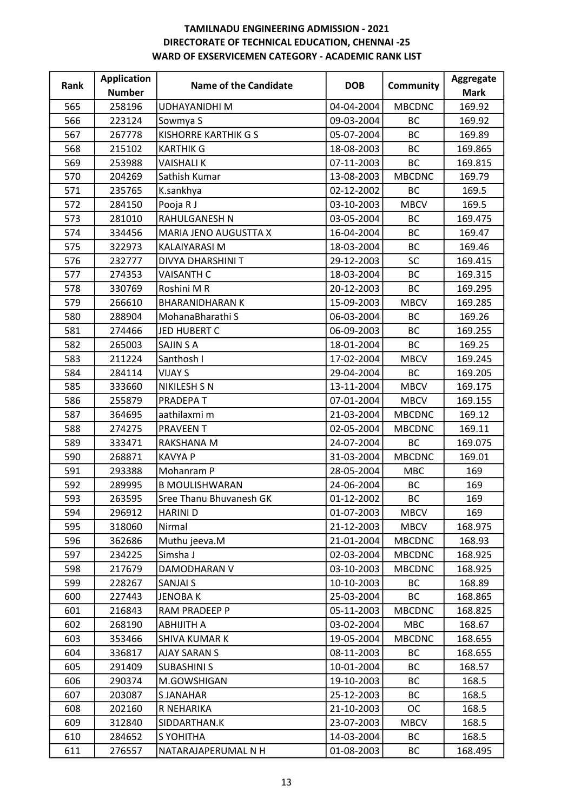| Rank | <b>Application</b> | Name of the Candidate       | <b>DOB</b> | <b>Community</b> | Aggregate   |
|------|--------------------|-----------------------------|------------|------------------|-------------|
|      | <b>Number</b>      |                             |            |                  | <b>Mark</b> |
| 565  | 258196             | <b>UDHAYANIDHI M</b>        | 04-04-2004 | <b>MBCDNC</b>    | 169.92      |
| 566  | 223124             | Sowmya S                    | 09-03-2004 | <b>BC</b>        | 169.92      |
| 567  | 267778             | <b>KISHORRE KARTHIK G S</b> | 05-07-2004 | BC               | 169.89      |
| 568  | 215102             | <b>KARTHIK G</b>            | 18-08-2003 | <b>BC</b>        | 169.865     |
| 569  | 253988             | <b>VAISHALIK</b>            | 07-11-2003 | <b>BC</b>        | 169.815     |
| 570  | 204269             | Sathish Kumar               | 13-08-2003 | <b>MBCDNC</b>    | 169.79      |
| 571  | 235765             | K.sankhya                   | 02-12-2002 | <b>BC</b>        | 169.5       |
| 572  | 284150             | Pooja R J                   | 03-10-2003 | <b>MBCV</b>      | 169.5       |
| 573  | 281010             | RAHULGANESH N               | 03-05-2004 | BC               | 169.475     |
| 574  | 334456             | MARIA JENO AUGUSTTA X       | 16-04-2004 | BC               | 169.47      |
| 575  | 322973             | KALAIYARASI M               | 18-03-2004 | <b>BC</b>        | 169.46      |
| 576  | 232777             | DIVYA DHARSHINI T           | 29-12-2003 | SC               | 169.415     |
| 577  | 274353             | <b>VAISANTH C</b>           | 18-03-2004 | <b>BC</b>        | 169.315     |
| 578  | 330769             | Roshini M R                 | 20-12-2003 | <b>BC</b>        | 169.295     |
| 579  | 266610             | <b>BHARANIDHARAN K</b>      | 15-09-2003 | <b>MBCV</b>      | 169.285     |
| 580  | 288904             | MohanaBharathi S            | 06-03-2004 | BC               | 169.26      |
| 581  | 274466             | JED HUBERT C                | 06-09-2003 | <b>BC</b>        | 169.255     |
| 582  | 265003             | <b>SAJIN S A</b>            | 18-01-2004 | BC               | 169.25      |
| 583  | 211224             | Santhosh I                  | 17-02-2004 | <b>MBCV</b>      | 169.245     |
| 584  | 284114             | <b>VIJAY S</b>              | 29-04-2004 | <b>BC</b>        | 169.205     |
| 585  | 333660             | NIKILESH S N                | 13-11-2004 | <b>MBCV</b>      | 169.175     |
| 586  | 255879             | PRADEPA T                   | 07-01-2004 | <b>MBCV</b>      | 169.155     |
| 587  | 364695             | aathilaxmi m                | 21-03-2004 | <b>MBCDNC</b>    | 169.12      |
| 588  | 274275             | <b>PRAVEEN T</b>            | 02-05-2004 | <b>MBCDNC</b>    | 169.11      |
| 589  | 333471             | RAKSHANA M                  | 24-07-2004 | <b>BC</b>        | 169.075     |
| 590  | 268871             | <b>KAVYA P</b>              | 31-03-2004 | <b>MBCDNC</b>    | 169.01      |
| 591  | 293388             | Mohanram P                  | 28-05-2004 | <b>MBC</b>       | 169         |
| 592  | 289995             | <b>B MOULISHWARAN</b>       | 24-06-2004 | <b>BC</b>        | 169         |
| 593  | 263595             | Sree Thanu Bhuvanesh GK     | 01-12-2002 | <b>BC</b>        | 169         |
| 594  | 296912             | <b>HARINI D</b>             | 01-07-2003 | <b>MBCV</b>      | 169         |
| 595  | 318060             | Nirmal                      | 21-12-2003 | <b>MBCV</b>      | 168.975     |
| 596  | 362686             | Muthu jeeva.M               | 21-01-2004 | <b>MBCDNC</b>    | 168.93      |
| 597  | 234225             | Simsha J                    | 02-03-2004 | <b>MBCDNC</b>    | 168.925     |
| 598  | 217679             | DAMODHARAN V                | 03-10-2003 | <b>MBCDNC</b>    | 168.925     |
| 599  | 228267             | SANJAI S                    | 10-10-2003 | <b>BC</b>        | 168.89      |
| 600  | 227443             | <b>JENOBAK</b>              | 25-03-2004 | <b>BC</b>        | 168.865     |
| 601  | 216843             | RAM PRADEEP P               | 05-11-2003 | <b>MBCDNC</b>    | 168.825     |
| 602  | 268190             | <b>ABHIJITH A</b>           | 03-02-2004 | <b>MBC</b>       | 168.67      |
| 603  | 353466             | <b>SHIVA KUMAR K</b>        | 19-05-2004 | <b>MBCDNC</b>    | 168.655     |
| 604  | 336817             | <b>AJAY SARAN S</b>         | 08-11-2003 | <b>BC</b>        | 168.655     |
| 605  | 291409             | <b>SUBASHINI S</b>          | 10-01-2004 | ВC               | 168.57      |
| 606  | 290374             | M.GOWSHIGAN                 | 19-10-2003 | <b>BC</b>        | 168.5       |
| 607  | 203087             | <b>SJANAHAR</b>             | 25-12-2003 | <b>BC</b>        | 168.5       |
| 608  | 202160             | R NEHARIKA                  | 21-10-2003 | OC               | 168.5       |
| 609  | 312840             | SIDDARTHAN.K                | 23-07-2003 | <b>MBCV</b>      | 168.5       |
| 610  | 284652             | S YOHITHA                   | 14-03-2004 | ВC               | 168.5       |
| 611  | 276557             | NATARAJAPERUMAL N H         | 01-08-2003 | BC               | 168.495     |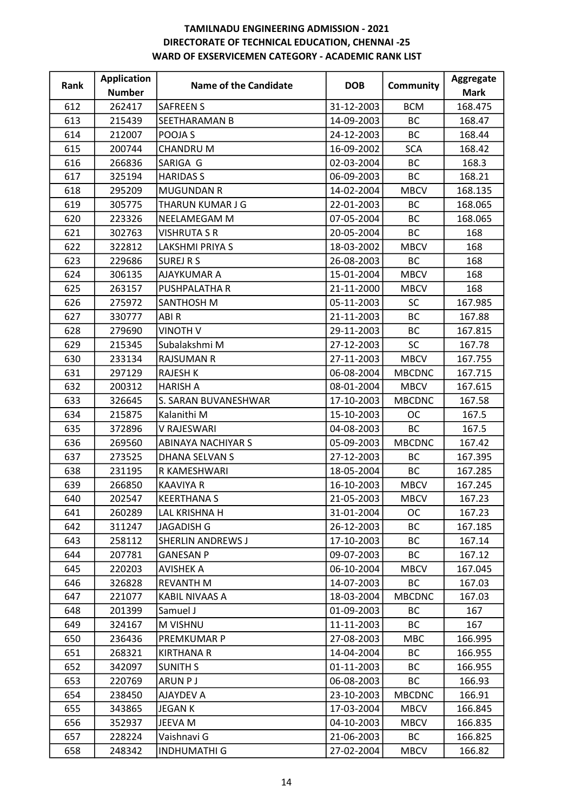| 262417<br>612<br><b>SAFREEN S</b><br>31-12-2003<br><b>BCM</b><br>168.475<br>613<br>215439<br>14-09-2003<br><b>BC</b><br>SEETHARAMAN B<br>168.47<br>24-12-2003<br>BC<br>614<br>212007<br>POOJA S<br>168.44<br>615<br>16-09-2002<br><b>SCA</b><br>200744<br><b>CHANDRU M</b><br>168.42<br>02-03-2004<br><b>BC</b><br>616<br>266836<br>SARIGA G<br>168.3<br>617<br>325194<br><b>HARIDAS S</b><br>06-09-2003<br>BC<br>168.21<br>295209<br><b>MUGUNDAN R</b><br>14-02-2004<br><b>MBCV</b><br>618<br>168.135<br>22-01-2003<br>619<br>305775<br>THARUN KUMAR J G<br><b>BC</b><br>168.065<br>07-05-2004<br><b>BC</b><br>620<br>223326<br>NEELAMEGAM M<br>168.065<br>621<br>20-05-2004<br>BC<br>302763<br>VISHRUTA S R<br>168<br>622<br>322812<br><b>LAKSHMI PRIYA S</b><br>18-03-2002<br><b>MBCV</b><br>168<br><b>SUREJ R S</b><br>26-08-2003<br><b>BC</b><br>623<br>229686<br>168<br>15-01-2004<br><b>MBCV</b><br>624<br>306135<br>AJAYKUMAR A<br>168<br>21-11-2000<br>168<br>625<br>263157<br>PUSHPALATHA R<br><b>MBCV</b><br>05-11-2003<br><b>SC</b><br>626<br>275972<br>SANTHOSH M<br>167.985<br>ABIR<br>21-11-2003<br>627<br>330777<br><b>BC</b><br>167.88<br><b>VINOTH V</b><br>29-11-2003<br>BC<br>628<br>279690<br>167.815<br>629<br>27-12-2003<br><b>SC</b><br>215345<br>Subalakshmi M<br>167.78<br>27-11-2003<br><b>MBCV</b><br>630<br>233134<br><b>RAJSUMAN R</b><br>167.755<br>631<br>297129<br><b>RAJESH K</b><br>06-08-2004<br><b>MBCDNC</b><br>167.715<br>632<br>200312<br><b>HARISH A</b><br>08-01-2004<br><b>MBCV</b><br>167.615<br>17-10-2003<br><b>MBCDNC</b><br>633<br>326645<br>S. SARAN BUVANESHWAR<br>167.58<br>15-10-2003<br><b>OC</b><br>634<br>215875<br>Kalanithi M<br>167.5<br>04-08-2003<br><b>BC</b><br>635<br>372896<br>V RAJESWARI<br>167.5<br>636<br>269560<br>05-09-2003<br><b>MBCDNC</b><br>ABINAYA NACHIYAR S<br>167.42<br>27-12-2003<br>BC<br>637<br>273525<br><b>DHANA SELVAN S</b><br>167.395<br>638<br>18-05-2004<br><b>BC</b><br>231195<br>R KAMESHWARI<br>167.285<br>639<br>266850<br><b>KAAVIYA R</b><br>16-10-2003<br><b>MBCV</b><br>167.245<br>21-05-2003<br>640<br><b>KEERTHANA S</b><br>202547<br><b>MBCV</b><br>167.23<br><b>LAL KRISHNA H</b><br>260289<br>31-01-2004<br><b>OC</b><br>167.23<br>641<br>26-12-2003<br>642<br>311247<br><b>JAGADISH G</b><br>ВC<br>167.185<br>17-10-2003<br>643<br>258112<br>SHERLIN ANDREWS J<br>ВC<br>167.14<br>207781<br><b>GANESAN P</b><br>09-07-2003<br><b>BC</b><br>167.12<br>644<br>06-10-2004<br>645<br>220203<br><b>MBCV</b><br>167.045<br><b>AVISHEK A</b><br>646<br>14-07-2003<br>BC<br>326828<br><b>REVANTH M</b><br>167.03<br>221077<br><b>KABIL NIVAAS A</b><br>18-03-2004<br><b>MBCDNC</b><br>167.03<br>647<br>01-09-2003<br><b>BC</b><br>648<br>201399<br>Samuel J<br>167<br>M VISHNU<br>11-11-2003<br><b>BC</b><br>649<br>324167<br>167<br>27-08-2003<br>650<br>236436<br>PREMKUMAR P<br><b>MBC</b><br>166.995<br>651<br>268321<br>14-04-2004<br><b>BC</b><br>166.955<br><b>KIRTHANA R</b><br>652<br>342097<br><b>SUNITH S</b><br>01-11-2003<br>ВC<br>166.955<br>220769<br><b>ARUN PJ</b><br>06-08-2003<br>ВC<br>653<br>166.93<br>23-10-2003<br><b>MBCDNC</b><br>654<br>238450<br>AJAYDEV A<br>166.91<br>17-03-2004<br>655<br>343865<br><b>JEGANK</b><br><b>MBCV</b><br>166.845<br>656<br>352937<br>JEEVA M<br>04-10-2003<br><b>MBCV</b><br>166.835<br>228224<br>21-06-2003<br>657<br>Vaishnavi G<br><b>BC</b><br>166.825 | Rank | <b>Application</b> | <b>Name of the Candidate</b> | <b>DOB</b> | <b>Community</b> | Aggregate   |
|--------------------------------------------------------------------------------------------------------------------------------------------------------------------------------------------------------------------------------------------------------------------------------------------------------------------------------------------------------------------------------------------------------------------------------------------------------------------------------------------------------------------------------------------------------------------------------------------------------------------------------------------------------------------------------------------------------------------------------------------------------------------------------------------------------------------------------------------------------------------------------------------------------------------------------------------------------------------------------------------------------------------------------------------------------------------------------------------------------------------------------------------------------------------------------------------------------------------------------------------------------------------------------------------------------------------------------------------------------------------------------------------------------------------------------------------------------------------------------------------------------------------------------------------------------------------------------------------------------------------------------------------------------------------------------------------------------------------------------------------------------------------------------------------------------------------------------------------------------------------------------------------------------------------------------------------------------------------------------------------------------------------------------------------------------------------------------------------------------------------------------------------------------------------------------------------------------------------------------------------------------------------------------------------------------------------------------------------------------------------------------------------------------------------------------------------------------------------------------------------------------------------------------------------------------------------------------------------------------------------------------------------------------------------------------------------------------------------------------------------------------------------------------------------------------------------------------------------------------------------------------------------------------------------------------------------------------------------------------------------------------------------------------------------------------------------------------------------------------------------------------------------------------------------------------------------------------------------------------------------------------------------------------------------------------------------------------------------------------------------------------------------------------------------|------|--------------------|------------------------------|------------|------------------|-------------|
|                                                                                                                                                                                                                                                                                                                                                                                                                                                                                                                                                                                                                                                                                                                                                                                                                                                                                                                                                                                                                                                                                                                                                                                                                                                                                                                                                                                                                                                                                                                                                                                                                                                                                                                                                                                                                                                                                                                                                                                                                                                                                                                                                                                                                                                                                                                                                                                                                                                                                                                                                                                                                                                                                                                                                                                                                                                                                                                                                                                                                                                                                                                                                                                                                                                                                                                                                                                                                    |      | <b>Number</b>      |                              |            |                  | <b>Mark</b> |
|                                                                                                                                                                                                                                                                                                                                                                                                                                                                                                                                                                                                                                                                                                                                                                                                                                                                                                                                                                                                                                                                                                                                                                                                                                                                                                                                                                                                                                                                                                                                                                                                                                                                                                                                                                                                                                                                                                                                                                                                                                                                                                                                                                                                                                                                                                                                                                                                                                                                                                                                                                                                                                                                                                                                                                                                                                                                                                                                                                                                                                                                                                                                                                                                                                                                                                                                                                                                                    |      |                    |                              |            |                  |             |
|                                                                                                                                                                                                                                                                                                                                                                                                                                                                                                                                                                                                                                                                                                                                                                                                                                                                                                                                                                                                                                                                                                                                                                                                                                                                                                                                                                                                                                                                                                                                                                                                                                                                                                                                                                                                                                                                                                                                                                                                                                                                                                                                                                                                                                                                                                                                                                                                                                                                                                                                                                                                                                                                                                                                                                                                                                                                                                                                                                                                                                                                                                                                                                                                                                                                                                                                                                                                                    |      |                    |                              |            |                  |             |
|                                                                                                                                                                                                                                                                                                                                                                                                                                                                                                                                                                                                                                                                                                                                                                                                                                                                                                                                                                                                                                                                                                                                                                                                                                                                                                                                                                                                                                                                                                                                                                                                                                                                                                                                                                                                                                                                                                                                                                                                                                                                                                                                                                                                                                                                                                                                                                                                                                                                                                                                                                                                                                                                                                                                                                                                                                                                                                                                                                                                                                                                                                                                                                                                                                                                                                                                                                                                                    |      |                    |                              |            |                  |             |
|                                                                                                                                                                                                                                                                                                                                                                                                                                                                                                                                                                                                                                                                                                                                                                                                                                                                                                                                                                                                                                                                                                                                                                                                                                                                                                                                                                                                                                                                                                                                                                                                                                                                                                                                                                                                                                                                                                                                                                                                                                                                                                                                                                                                                                                                                                                                                                                                                                                                                                                                                                                                                                                                                                                                                                                                                                                                                                                                                                                                                                                                                                                                                                                                                                                                                                                                                                                                                    |      |                    |                              |            |                  |             |
|                                                                                                                                                                                                                                                                                                                                                                                                                                                                                                                                                                                                                                                                                                                                                                                                                                                                                                                                                                                                                                                                                                                                                                                                                                                                                                                                                                                                                                                                                                                                                                                                                                                                                                                                                                                                                                                                                                                                                                                                                                                                                                                                                                                                                                                                                                                                                                                                                                                                                                                                                                                                                                                                                                                                                                                                                                                                                                                                                                                                                                                                                                                                                                                                                                                                                                                                                                                                                    |      |                    |                              |            |                  |             |
|                                                                                                                                                                                                                                                                                                                                                                                                                                                                                                                                                                                                                                                                                                                                                                                                                                                                                                                                                                                                                                                                                                                                                                                                                                                                                                                                                                                                                                                                                                                                                                                                                                                                                                                                                                                                                                                                                                                                                                                                                                                                                                                                                                                                                                                                                                                                                                                                                                                                                                                                                                                                                                                                                                                                                                                                                                                                                                                                                                                                                                                                                                                                                                                                                                                                                                                                                                                                                    |      |                    |                              |            |                  |             |
|                                                                                                                                                                                                                                                                                                                                                                                                                                                                                                                                                                                                                                                                                                                                                                                                                                                                                                                                                                                                                                                                                                                                                                                                                                                                                                                                                                                                                                                                                                                                                                                                                                                                                                                                                                                                                                                                                                                                                                                                                                                                                                                                                                                                                                                                                                                                                                                                                                                                                                                                                                                                                                                                                                                                                                                                                                                                                                                                                                                                                                                                                                                                                                                                                                                                                                                                                                                                                    |      |                    |                              |            |                  |             |
|                                                                                                                                                                                                                                                                                                                                                                                                                                                                                                                                                                                                                                                                                                                                                                                                                                                                                                                                                                                                                                                                                                                                                                                                                                                                                                                                                                                                                                                                                                                                                                                                                                                                                                                                                                                                                                                                                                                                                                                                                                                                                                                                                                                                                                                                                                                                                                                                                                                                                                                                                                                                                                                                                                                                                                                                                                                                                                                                                                                                                                                                                                                                                                                                                                                                                                                                                                                                                    |      |                    |                              |            |                  |             |
|                                                                                                                                                                                                                                                                                                                                                                                                                                                                                                                                                                                                                                                                                                                                                                                                                                                                                                                                                                                                                                                                                                                                                                                                                                                                                                                                                                                                                                                                                                                                                                                                                                                                                                                                                                                                                                                                                                                                                                                                                                                                                                                                                                                                                                                                                                                                                                                                                                                                                                                                                                                                                                                                                                                                                                                                                                                                                                                                                                                                                                                                                                                                                                                                                                                                                                                                                                                                                    |      |                    |                              |            |                  |             |
|                                                                                                                                                                                                                                                                                                                                                                                                                                                                                                                                                                                                                                                                                                                                                                                                                                                                                                                                                                                                                                                                                                                                                                                                                                                                                                                                                                                                                                                                                                                                                                                                                                                                                                                                                                                                                                                                                                                                                                                                                                                                                                                                                                                                                                                                                                                                                                                                                                                                                                                                                                                                                                                                                                                                                                                                                                                                                                                                                                                                                                                                                                                                                                                                                                                                                                                                                                                                                    |      |                    |                              |            |                  |             |
|                                                                                                                                                                                                                                                                                                                                                                                                                                                                                                                                                                                                                                                                                                                                                                                                                                                                                                                                                                                                                                                                                                                                                                                                                                                                                                                                                                                                                                                                                                                                                                                                                                                                                                                                                                                                                                                                                                                                                                                                                                                                                                                                                                                                                                                                                                                                                                                                                                                                                                                                                                                                                                                                                                                                                                                                                                                                                                                                                                                                                                                                                                                                                                                                                                                                                                                                                                                                                    |      |                    |                              |            |                  |             |
|                                                                                                                                                                                                                                                                                                                                                                                                                                                                                                                                                                                                                                                                                                                                                                                                                                                                                                                                                                                                                                                                                                                                                                                                                                                                                                                                                                                                                                                                                                                                                                                                                                                                                                                                                                                                                                                                                                                                                                                                                                                                                                                                                                                                                                                                                                                                                                                                                                                                                                                                                                                                                                                                                                                                                                                                                                                                                                                                                                                                                                                                                                                                                                                                                                                                                                                                                                                                                    |      |                    |                              |            |                  |             |
|                                                                                                                                                                                                                                                                                                                                                                                                                                                                                                                                                                                                                                                                                                                                                                                                                                                                                                                                                                                                                                                                                                                                                                                                                                                                                                                                                                                                                                                                                                                                                                                                                                                                                                                                                                                                                                                                                                                                                                                                                                                                                                                                                                                                                                                                                                                                                                                                                                                                                                                                                                                                                                                                                                                                                                                                                                                                                                                                                                                                                                                                                                                                                                                                                                                                                                                                                                                                                    |      |                    |                              |            |                  |             |
|                                                                                                                                                                                                                                                                                                                                                                                                                                                                                                                                                                                                                                                                                                                                                                                                                                                                                                                                                                                                                                                                                                                                                                                                                                                                                                                                                                                                                                                                                                                                                                                                                                                                                                                                                                                                                                                                                                                                                                                                                                                                                                                                                                                                                                                                                                                                                                                                                                                                                                                                                                                                                                                                                                                                                                                                                                                                                                                                                                                                                                                                                                                                                                                                                                                                                                                                                                                                                    |      |                    |                              |            |                  |             |
|                                                                                                                                                                                                                                                                                                                                                                                                                                                                                                                                                                                                                                                                                                                                                                                                                                                                                                                                                                                                                                                                                                                                                                                                                                                                                                                                                                                                                                                                                                                                                                                                                                                                                                                                                                                                                                                                                                                                                                                                                                                                                                                                                                                                                                                                                                                                                                                                                                                                                                                                                                                                                                                                                                                                                                                                                                                                                                                                                                                                                                                                                                                                                                                                                                                                                                                                                                                                                    |      |                    |                              |            |                  |             |
|                                                                                                                                                                                                                                                                                                                                                                                                                                                                                                                                                                                                                                                                                                                                                                                                                                                                                                                                                                                                                                                                                                                                                                                                                                                                                                                                                                                                                                                                                                                                                                                                                                                                                                                                                                                                                                                                                                                                                                                                                                                                                                                                                                                                                                                                                                                                                                                                                                                                                                                                                                                                                                                                                                                                                                                                                                                                                                                                                                                                                                                                                                                                                                                                                                                                                                                                                                                                                    |      |                    |                              |            |                  |             |
|                                                                                                                                                                                                                                                                                                                                                                                                                                                                                                                                                                                                                                                                                                                                                                                                                                                                                                                                                                                                                                                                                                                                                                                                                                                                                                                                                                                                                                                                                                                                                                                                                                                                                                                                                                                                                                                                                                                                                                                                                                                                                                                                                                                                                                                                                                                                                                                                                                                                                                                                                                                                                                                                                                                                                                                                                                                                                                                                                                                                                                                                                                                                                                                                                                                                                                                                                                                                                    |      |                    |                              |            |                  |             |
|                                                                                                                                                                                                                                                                                                                                                                                                                                                                                                                                                                                                                                                                                                                                                                                                                                                                                                                                                                                                                                                                                                                                                                                                                                                                                                                                                                                                                                                                                                                                                                                                                                                                                                                                                                                                                                                                                                                                                                                                                                                                                                                                                                                                                                                                                                                                                                                                                                                                                                                                                                                                                                                                                                                                                                                                                                                                                                                                                                                                                                                                                                                                                                                                                                                                                                                                                                                                                    |      |                    |                              |            |                  |             |
|                                                                                                                                                                                                                                                                                                                                                                                                                                                                                                                                                                                                                                                                                                                                                                                                                                                                                                                                                                                                                                                                                                                                                                                                                                                                                                                                                                                                                                                                                                                                                                                                                                                                                                                                                                                                                                                                                                                                                                                                                                                                                                                                                                                                                                                                                                                                                                                                                                                                                                                                                                                                                                                                                                                                                                                                                                                                                                                                                                                                                                                                                                                                                                                                                                                                                                                                                                                                                    |      |                    |                              |            |                  |             |
|                                                                                                                                                                                                                                                                                                                                                                                                                                                                                                                                                                                                                                                                                                                                                                                                                                                                                                                                                                                                                                                                                                                                                                                                                                                                                                                                                                                                                                                                                                                                                                                                                                                                                                                                                                                                                                                                                                                                                                                                                                                                                                                                                                                                                                                                                                                                                                                                                                                                                                                                                                                                                                                                                                                                                                                                                                                                                                                                                                                                                                                                                                                                                                                                                                                                                                                                                                                                                    |      |                    |                              |            |                  |             |
|                                                                                                                                                                                                                                                                                                                                                                                                                                                                                                                                                                                                                                                                                                                                                                                                                                                                                                                                                                                                                                                                                                                                                                                                                                                                                                                                                                                                                                                                                                                                                                                                                                                                                                                                                                                                                                                                                                                                                                                                                                                                                                                                                                                                                                                                                                                                                                                                                                                                                                                                                                                                                                                                                                                                                                                                                                                                                                                                                                                                                                                                                                                                                                                                                                                                                                                                                                                                                    |      |                    |                              |            |                  |             |
|                                                                                                                                                                                                                                                                                                                                                                                                                                                                                                                                                                                                                                                                                                                                                                                                                                                                                                                                                                                                                                                                                                                                                                                                                                                                                                                                                                                                                                                                                                                                                                                                                                                                                                                                                                                                                                                                                                                                                                                                                                                                                                                                                                                                                                                                                                                                                                                                                                                                                                                                                                                                                                                                                                                                                                                                                                                                                                                                                                                                                                                                                                                                                                                                                                                                                                                                                                                                                    |      |                    |                              |            |                  |             |
|                                                                                                                                                                                                                                                                                                                                                                                                                                                                                                                                                                                                                                                                                                                                                                                                                                                                                                                                                                                                                                                                                                                                                                                                                                                                                                                                                                                                                                                                                                                                                                                                                                                                                                                                                                                                                                                                                                                                                                                                                                                                                                                                                                                                                                                                                                                                                                                                                                                                                                                                                                                                                                                                                                                                                                                                                                                                                                                                                                                                                                                                                                                                                                                                                                                                                                                                                                                                                    |      |                    |                              |            |                  |             |
|                                                                                                                                                                                                                                                                                                                                                                                                                                                                                                                                                                                                                                                                                                                                                                                                                                                                                                                                                                                                                                                                                                                                                                                                                                                                                                                                                                                                                                                                                                                                                                                                                                                                                                                                                                                                                                                                                                                                                                                                                                                                                                                                                                                                                                                                                                                                                                                                                                                                                                                                                                                                                                                                                                                                                                                                                                                                                                                                                                                                                                                                                                                                                                                                                                                                                                                                                                                                                    |      |                    |                              |            |                  |             |
|                                                                                                                                                                                                                                                                                                                                                                                                                                                                                                                                                                                                                                                                                                                                                                                                                                                                                                                                                                                                                                                                                                                                                                                                                                                                                                                                                                                                                                                                                                                                                                                                                                                                                                                                                                                                                                                                                                                                                                                                                                                                                                                                                                                                                                                                                                                                                                                                                                                                                                                                                                                                                                                                                                                                                                                                                                                                                                                                                                                                                                                                                                                                                                                                                                                                                                                                                                                                                    |      |                    |                              |            |                  |             |
|                                                                                                                                                                                                                                                                                                                                                                                                                                                                                                                                                                                                                                                                                                                                                                                                                                                                                                                                                                                                                                                                                                                                                                                                                                                                                                                                                                                                                                                                                                                                                                                                                                                                                                                                                                                                                                                                                                                                                                                                                                                                                                                                                                                                                                                                                                                                                                                                                                                                                                                                                                                                                                                                                                                                                                                                                                                                                                                                                                                                                                                                                                                                                                                                                                                                                                                                                                                                                    |      |                    |                              |            |                  |             |
|                                                                                                                                                                                                                                                                                                                                                                                                                                                                                                                                                                                                                                                                                                                                                                                                                                                                                                                                                                                                                                                                                                                                                                                                                                                                                                                                                                                                                                                                                                                                                                                                                                                                                                                                                                                                                                                                                                                                                                                                                                                                                                                                                                                                                                                                                                                                                                                                                                                                                                                                                                                                                                                                                                                                                                                                                                                                                                                                                                                                                                                                                                                                                                                                                                                                                                                                                                                                                    |      |                    |                              |            |                  |             |
|                                                                                                                                                                                                                                                                                                                                                                                                                                                                                                                                                                                                                                                                                                                                                                                                                                                                                                                                                                                                                                                                                                                                                                                                                                                                                                                                                                                                                                                                                                                                                                                                                                                                                                                                                                                                                                                                                                                                                                                                                                                                                                                                                                                                                                                                                                                                                                                                                                                                                                                                                                                                                                                                                                                                                                                                                                                                                                                                                                                                                                                                                                                                                                                                                                                                                                                                                                                                                    |      |                    |                              |            |                  |             |
|                                                                                                                                                                                                                                                                                                                                                                                                                                                                                                                                                                                                                                                                                                                                                                                                                                                                                                                                                                                                                                                                                                                                                                                                                                                                                                                                                                                                                                                                                                                                                                                                                                                                                                                                                                                                                                                                                                                                                                                                                                                                                                                                                                                                                                                                                                                                                                                                                                                                                                                                                                                                                                                                                                                                                                                                                                                                                                                                                                                                                                                                                                                                                                                                                                                                                                                                                                                                                    |      |                    |                              |            |                  |             |
|                                                                                                                                                                                                                                                                                                                                                                                                                                                                                                                                                                                                                                                                                                                                                                                                                                                                                                                                                                                                                                                                                                                                                                                                                                                                                                                                                                                                                                                                                                                                                                                                                                                                                                                                                                                                                                                                                                                                                                                                                                                                                                                                                                                                                                                                                                                                                                                                                                                                                                                                                                                                                                                                                                                                                                                                                                                                                                                                                                                                                                                                                                                                                                                                                                                                                                                                                                                                                    |      |                    |                              |            |                  |             |
|                                                                                                                                                                                                                                                                                                                                                                                                                                                                                                                                                                                                                                                                                                                                                                                                                                                                                                                                                                                                                                                                                                                                                                                                                                                                                                                                                                                                                                                                                                                                                                                                                                                                                                                                                                                                                                                                                                                                                                                                                                                                                                                                                                                                                                                                                                                                                                                                                                                                                                                                                                                                                                                                                                                                                                                                                                                                                                                                                                                                                                                                                                                                                                                                                                                                                                                                                                                                                    |      |                    |                              |            |                  |             |
|                                                                                                                                                                                                                                                                                                                                                                                                                                                                                                                                                                                                                                                                                                                                                                                                                                                                                                                                                                                                                                                                                                                                                                                                                                                                                                                                                                                                                                                                                                                                                                                                                                                                                                                                                                                                                                                                                                                                                                                                                                                                                                                                                                                                                                                                                                                                                                                                                                                                                                                                                                                                                                                                                                                                                                                                                                                                                                                                                                                                                                                                                                                                                                                                                                                                                                                                                                                                                    |      |                    |                              |            |                  |             |
|                                                                                                                                                                                                                                                                                                                                                                                                                                                                                                                                                                                                                                                                                                                                                                                                                                                                                                                                                                                                                                                                                                                                                                                                                                                                                                                                                                                                                                                                                                                                                                                                                                                                                                                                                                                                                                                                                                                                                                                                                                                                                                                                                                                                                                                                                                                                                                                                                                                                                                                                                                                                                                                                                                                                                                                                                                                                                                                                                                                                                                                                                                                                                                                                                                                                                                                                                                                                                    |      |                    |                              |            |                  |             |
|                                                                                                                                                                                                                                                                                                                                                                                                                                                                                                                                                                                                                                                                                                                                                                                                                                                                                                                                                                                                                                                                                                                                                                                                                                                                                                                                                                                                                                                                                                                                                                                                                                                                                                                                                                                                                                                                                                                                                                                                                                                                                                                                                                                                                                                                                                                                                                                                                                                                                                                                                                                                                                                                                                                                                                                                                                                                                                                                                                                                                                                                                                                                                                                                                                                                                                                                                                                                                    |      |                    |                              |            |                  |             |
|                                                                                                                                                                                                                                                                                                                                                                                                                                                                                                                                                                                                                                                                                                                                                                                                                                                                                                                                                                                                                                                                                                                                                                                                                                                                                                                                                                                                                                                                                                                                                                                                                                                                                                                                                                                                                                                                                                                                                                                                                                                                                                                                                                                                                                                                                                                                                                                                                                                                                                                                                                                                                                                                                                                                                                                                                                                                                                                                                                                                                                                                                                                                                                                                                                                                                                                                                                                                                    |      |                    |                              |            |                  |             |
|                                                                                                                                                                                                                                                                                                                                                                                                                                                                                                                                                                                                                                                                                                                                                                                                                                                                                                                                                                                                                                                                                                                                                                                                                                                                                                                                                                                                                                                                                                                                                                                                                                                                                                                                                                                                                                                                                                                                                                                                                                                                                                                                                                                                                                                                                                                                                                                                                                                                                                                                                                                                                                                                                                                                                                                                                                                                                                                                                                                                                                                                                                                                                                                                                                                                                                                                                                                                                    |      |                    |                              |            |                  |             |
|                                                                                                                                                                                                                                                                                                                                                                                                                                                                                                                                                                                                                                                                                                                                                                                                                                                                                                                                                                                                                                                                                                                                                                                                                                                                                                                                                                                                                                                                                                                                                                                                                                                                                                                                                                                                                                                                                                                                                                                                                                                                                                                                                                                                                                                                                                                                                                                                                                                                                                                                                                                                                                                                                                                                                                                                                                                                                                                                                                                                                                                                                                                                                                                                                                                                                                                                                                                                                    |      |                    |                              |            |                  |             |
|                                                                                                                                                                                                                                                                                                                                                                                                                                                                                                                                                                                                                                                                                                                                                                                                                                                                                                                                                                                                                                                                                                                                                                                                                                                                                                                                                                                                                                                                                                                                                                                                                                                                                                                                                                                                                                                                                                                                                                                                                                                                                                                                                                                                                                                                                                                                                                                                                                                                                                                                                                                                                                                                                                                                                                                                                                                                                                                                                                                                                                                                                                                                                                                                                                                                                                                                                                                                                    |      |                    |                              |            |                  |             |
|                                                                                                                                                                                                                                                                                                                                                                                                                                                                                                                                                                                                                                                                                                                                                                                                                                                                                                                                                                                                                                                                                                                                                                                                                                                                                                                                                                                                                                                                                                                                                                                                                                                                                                                                                                                                                                                                                                                                                                                                                                                                                                                                                                                                                                                                                                                                                                                                                                                                                                                                                                                                                                                                                                                                                                                                                                                                                                                                                                                                                                                                                                                                                                                                                                                                                                                                                                                                                    |      |                    |                              |            |                  |             |
|                                                                                                                                                                                                                                                                                                                                                                                                                                                                                                                                                                                                                                                                                                                                                                                                                                                                                                                                                                                                                                                                                                                                                                                                                                                                                                                                                                                                                                                                                                                                                                                                                                                                                                                                                                                                                                                                                                                                                                                                                                                                                                                                                                                                                                                                                                                                                                                                                                                                                                                                                                                                                                                                                                                                                                                                                                                                                                                                                                                                                                                                                                                                                                                                                                                                                                                                                                                                                    |      |                    |                              |            |                  |             |
|                                                                                                                                                                                                                                                                                                                                                                                                                                                                                                                                                                                                                                                                                                                                                                                                                                                                                                                                                                                                                                                                                                                                                                                                                                                                                                                                                                                                                                                                                                                                                                                                                                                                                                                                                                                                                                                                                                                                                                                                                                                                                                                                                                                                                                                                                                                                                                                                                                                                                                                                                                                                                                                                                                                                                                                                                                                                                                                                                                                                                                                                                                                                                                                                                                                                                                                                                                                                                    |      |                    |                              |            |                  |             |
|                                                                                                                                                                                                                                                                                                                                                                                                                                                                                                                                                                                                                                                                                                                                                                                                                                                                                                                                                                                                                                                                                                                                                                                                                                                                                                                                                                                                                                                                                                                                                                                                                                                                                                                                                                                                                                                                                                                                                                                                                                                                                                                                                                                                                                                                                                                                                                                                                                                                                                                                                                                                                                                                                                                                                                                                                                                                                                                                                                                                                                                                                                                                                                                                                                                                                                                                                                                                                    |      |                    |                              |            |                  |             |
|                                                                                                                                                                                                                                                                                                                                                                                                                                                                                                                                                                                                                                                                                                                                                                                                                                                                                                                                                                                                                                                                                                                                                                                                                                                                                                                                                                                                                                                                                                                                                                                                                                                                                                                                                                                                                                                                                                                                                                                                                                                                                                                                                                                                                                                                                                                                                                                                                                                                                                                                                                                                                                                                                                                                                                                                                                                                                                                                                                                                                                                                                                                                                                                                                                                                                                                                                                                                                    |      |                    |                              |            |                  |             |
|                                                                                                                                                                                                                                                                                                                                                                                                                                                                                                                                                                                                                                                                                                                                                                                                                                                                                                                                                                                                                                                                                                                                                                                                                                                                                                                                                                                                                                                                                                                                                                                                                                                                                                                                                                                                                                                                                                                                                                                                                                                                                                                                                                                                                                                                                                                                                                                                                                                                                                                                                                                                                                                                                                                                                                                                                                                                                                                                                                                                                                                                                                                                                                                                                                                                                                                                                                                                                    |      |                    |                              |            |                  |             |
|                                                                                                                                                                                                                                                                                                                                                                                                                                                                                                                                                                                                                                                                                                                                                                                                                                                                                                                                                                                                                                                                                                                                                                                                                                                                                                                                                                                                                                                                                                                                                                                                                                                                                                                                                                                                                                                                                                                                                                                                                                                                                                                                                                                                                                                                                                                                                                                                                                                                                                                                                                                                                                                                                                                                                                                                                                                                                                                                                                                                                                                                                                                                                                                                                                                                                                                                                                                                                    |      |                    |                              |            |                  |             |
|                                                                                                                                                                                                                                                                                                                                                                                                                                                                                                                                                                                                                                                                                                                                                                                                                                                                                                                                                                                                                                                                                                                                                                                                                                                                                                                                                                                                                                                                                                                                                                                                                                                                                                                                                                                                                                                                                                                                                                                                                                                                                                                                                                                                                                                                                                                                                                                                                                                                                                                                                                                                                                                                                                                                                                                                                                                                                                                                                                                                                                                                                                                                                                                                                                                                                                                                                                                                                    |      |                    |                              |            |                  |             |
| 658<br>248342<br><b>INDHUMATHI G</b><br>27-02-2004<br><b>MBCV</b><br>166.82                                                                                                                                                                                                                                                                                                                                                                                                                                                                                                                                                                                                                                                                                                                                                                                                                                                                                                                                                                                                                                                                                                                                                                                                                                                                                                                                                                                                                                                                                                                                                                                                                                                                                                                                                                                                                                                                                                                                                                                                                                                                                                                                                                                                                                                                                                                                                                                                                                                                                                                                                                                                                                                                                                                                                                                                                                                                                                                                                                                                                                                                                                                                                                                                                                                                                                                                        |      |                    |                              |            |                  |             |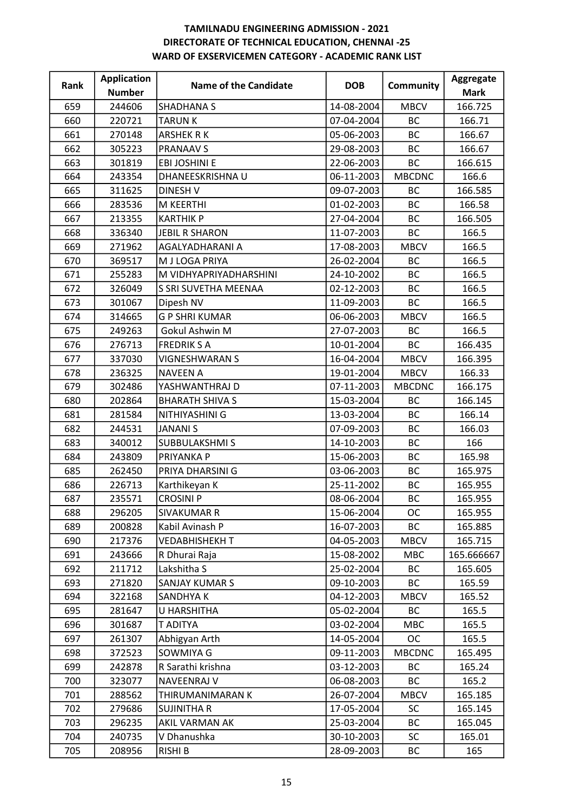| Rank | <b>Application</b> | Name of the Candidate  | <b>DOB</b> | <b>Community</b> | Aggregate   |
|------|--------------------|------------------------|------------|------------------|-------------|
|      | <b>Number</b>      |                        |            |                  | <b>Mark</b> |
| 659  | 244606             | <b>SHADHANA S</b>      | 14-08-2004 | <b>MBCV</b>      | 166.725     |
| 660  | 220721             | <b>TARUNK</b>          | 07-04-2004 | <b>BC</b>        | 166.71      |
| 661  | 270148             | <b>ARSHEK R K</b>      | 05-06-2003 | BC               | 166.67      |
| 662  | 305223             | <b>PRANAAV S</b>       | 29-08-2003 | <b>BC</b>        | 166.67      |
| 663  | 301819             | <b>EBI JOSHINI E</b>   | 22-06-2003 | <b>BC</b>        | 166.615     |
| 664  | 243354             | DHANEESKRISHNA U       | 06-11-2003 | <b>MBCDNC</b>    | 166.6       |
| 665  | 311625             | <b>DINESH V</b>        | 09-07-2003 | <b>BC</b>        | 166.585     |
| 666  | 283536             | M KEERTHI              | 01-02-2003 | <b>BC</b>        | 166.58      |
| 667  | 213355             | <b>KARTHIK P</b>       | 27-04-2004 | <b>BC</b>        | 166.505     |
| 668  | 336340             | <b>JEBIL R SHARON</b>  | 11-07-2003 | BC               | 166.5       |
| 669  | 271962             | AGALYADHARANI A        | 17-08-2003 | <b>MBCV</b>      | 166.5       |
| 670  | 369517             | M J LOGA PRIYA         | 26-02-2004 | <b>BC</b>        | 166.5       |
| 671  | 255283             | M VIDHYAPRIYADHARSHINI | 24-10-2002 | <b>BC</b>        | 166.5       |
| 672  | 326049             | S SRI SUVETHA MEENAA   | 02-12-2003 | <b>BC</b>        | 166.5       |
| 673  | 301067             | Dipesh NV              | 11-09-2003 | BC               | 166.5       |
| 674  | 314665             | <b>G P SHRI KUMAR</b>  | 06-06-2003 | <b>MBCV</b>      | 166.5       |
| 675  | 249263             | Gokul Ashwin M         | 27-07-2003 | <b>BC</b>        | 166.5       |
| 676  | 276713             | <b>FREDRIKSA</b>       | 10-01-2004 | BC               | 166.435     |
| 677  | 337030             | <b>VIGNESHWARAN S</b>  | 16-04-2004 | <b>MBCV</b>      | 166.395     |
| 678  | 236325             | <b>NAVEEN A</b>        | 19-01-2004 | <b>MBCV</b>      | 166.33      |
| 679  | 302486             | YASHWANTHRAJ D         | 07-11-2003 | <b>MBCDNC</b>    | 166.175     |
| 680  | 202864             | <b>BHARATH SHIVA S</b> | 15-03-2004 | <b>BC</b>        | 166.145     |
| 681  | 281584             | NITHIYASHINI G         | 13-03-2004 | <b>BC</b>        | 166.14      |
| 682  | 244531             | <b>JANANI S</b>        | 07-09-2003 | BC               | 166.03      |
| 683  | 340012             | SUBBULAKSHMI S         | 14-10-2003 | BC               | 166         |
| 684  | 243809             | PRIYANKA P             | 15-06-2003 | <b>BC</b>        | 165.98      |
| 685  | 262450             | PRIYA DHARSINI G       | 03-06-2003 | BC               | 165.975     |
| 686  | 226713             | Karthikeyan K          | 25-11-2002 | BC               | 165.955     |
| 687  | 235571             | <b>CROSINI P</b>       | 08-06-2004 | <b>BC</b>        | 165.955     |
| 688  | 296205             | <b>SIVAKUMAR R</b>     | 15-06-2004 | <b>OC</b>        | 165.955     |
| 689  | 200828             | Kabil Avinash P        | 16-07-2003 | <b>BC</b>        | 165.885     |
| 690  | 217376             | <b>VEDABHISHEKH T</b>  | 04-05-2003 | <b>MBCV</b>      | 165.715     |
| 691  | 243666             | R Dhurai Raja          | 15-08-2002 | <b>MBC</b>       | 165.666667  |
| 692  | 211712             | Lakshitha S            | 25-02-2004 | <b>BC</b>        | 165.605     |
| 693  | 271820             | SANJAY KUMAR S         | 09-10-2003 | ВC               | 165.59      |
| 694  | 322168             | SANDHYA K              | 04-12-2003 | <b>MBCV</b>      | 165.52      |
| 695  | 281647             | U HARSHITHA            | 05-02-2004 | <b>BC</b>        | 165.5       |
| 696  | 301687             | T ADITYA               | 03-02-2004 | <b>MBC</b>       | 165.5       |
| 697  | 261307             | Abhigyan Arth          | 14-05-2004 | <b>OC</b>        | 165.5       |
| 698  | 372523             | SOWMIYA G              | 09-11-2003 | <b>MBCDNC</b>    | 165.495     |
| 699  | 242878             | R Sarathi krishna      | 03-12-2003 | ВC               | 165.24      |
| 700  | 323077             | <b>NAVEENRAJ V</b>     | 06-08-2003 | <b>BC</b>        | 165.2       |
| 701  | 288562             | THIRUMANIMARAN K       | 26-07-2004 | <b>MBCV</b>      | 165.185     |
| 702  | 279686             | <b>SUJINITHA R</b>     | 17-05-2004 | <b>SC</b>        | 165.145     |
| 703  | 296235             | AKIL VARMAN AK         | 25-03-2004 | <b>BC</b>        | 165.045     |
| 704  | 240735             | V Dhanushka            | 30-10-2003 | SC               | 165.01      |
| 705  | 208956             | <b>RISHI B</b>         | 28-09-2003 | ВC               | 165         |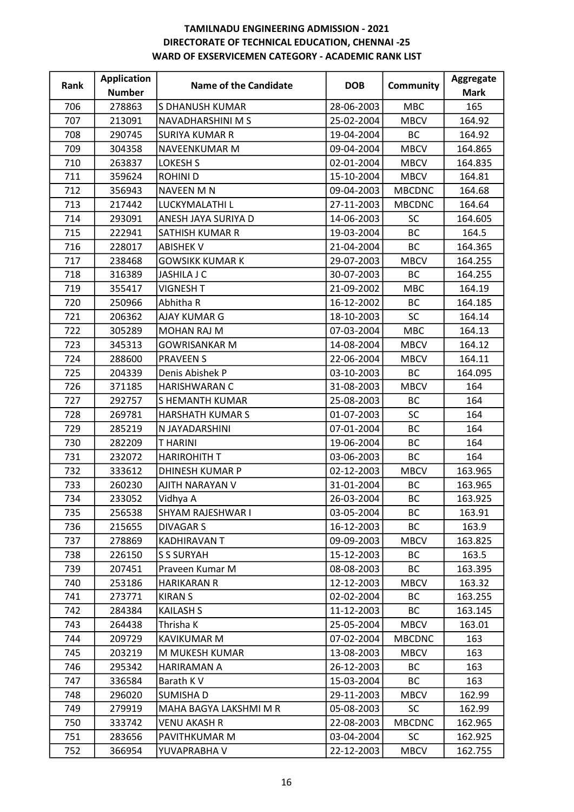| Rank | <b>Application</b> | Name of the Candidate   | <b>DOB</b> | <b>Community</b> | Aggregate   |
|------|--------------------|-------------------------|------------|------------------|-------------|
|      | <b>Number</b>      |                         |            |                  | <b>Mark</b> |
| 706  | 278863             | S DHANUSH KUMAR         | 28-06-2003 | <b>MBC</b>       | 165         |
| 707  | 213091             | NAVADHARSHINI M S       | 25-02-2004 | <b>MBCV</b>      | 164.92      |
| 708  | 290745             | <b>SURIYA KUMAR R</b>   | 19-04-2004 | ВC               | 164.92      |
| 709  | 304358             | NAVEENKUMAR M           | 09-04-2004 | <b>MBCV</b>      | 164.865     |
| 710  | 263837             | <b>LOKESH S</b>         | 02-01-2004 | <b>MBCV</b>      | 164.835     |
| 711  | 359624             | <b>ROHINI D</b>         | 15-10-2004 | <b>MBCV</b>      | 164.81      |
| 712  | 356943             | <b>NAVEEN M N</b>       | 09-04-2003 | <b>MBCDNC</b>    | 164.68      |
| 713  | 217442             | LUCKYMALATHI L          | 27-11-2003 | <b>MBCDNC</b>    | 164.64      |
| 714  | 293091             | ANESH JAYA SURIYA D     | 14-06-2003 | SC               | 164.605     |
| 715  | 222941             | SATHISH KUMAR R         | 19-03-2004 | <b>BC</b>        | 164.5       |
| 716  | 228017             | <b>ABISHEK V</b>        | 21-04-2004 | <b>BC</b>        | 164.365     |
| 717  | 238468             | <b>GOWSIKK KUMAR K</b>  | 29-07-2003 | <b>MBCV</b>      | 164.255     |
| 718  | 316389             | <b>JASHILA J C</b>      | 30-07-2003 | BC               | 164.255     |
| 719  | 355417             | <b>VIGNESH T</b>        | 21-09-2002 | <b>MBC</b>       | 164.19      |
| 720  | 250966             | Abhitha R               | 16-12-2002 | <b>BC</b>        | 164.185     |
| 721  | 206362             | AJAY KUMAR G            | 18-10-2003 | <b>SC</b>        | 164.14      |
| 722  | 305289             | <b>MOHAN RAJ M</b>      | 07-03-2004 | <b>MBC</b>       | 164.13      |
| 723  | 345313             | <b>GOWRISANKAR M</b>    | 14-08-2004 | <b>MBCV</b>      | 164.12      |
| 724  | 288600             | <b>PRAVEEN S</b>        | 22-06-2004 | <b>MBCV</b>      | 164.11      |
| 725  | 204339             | Denis Abishek P         | 03-10-2003 | <b>BC</b>        | 164.095     |
| 726  | 371185             | HARISHWARAN C           | 31-08-2003 | <b>MBCV</b>      | 164         |
| 727  | 292757             | S HEMANTH KUMAR         | 25-08-2003 | <b>BC</b>        | 164         |
| 728  | 269781             | <b>HARSHATH KUMAR S</b> | 01-07-2003 | SC               | 164         |
| 729  | 285219             | N JAYADARSHINI          | 07-01-2004 | <b>BC</b>        | 164         |
| 730  | 282209             | <b>THARINI</b>          | 19-06-2004 | ВC               | 164         |
| 731  | 232072             | <b>HARIROHITH T</b>     | 03-06-2003 | <b>BC</b>        | 164         |
| 732  | 333612             | <b>DHINESH KUMAR P</b>  | 02-12-2003 | <b>MBCV</b>      | 163.965     |
| 733  | 260230             | AJITH NARAYAN V         | 31-01-2004 | BC               | 163.965     |
| 734  | 233052             | Vidhya A                | 26-03-2004 | <b>BC</b>        | 163.925     |
| 735  | 256538             | SHYAM RAJESHWAR I       | 03-05-2004 | BC               | 163.91      |
| 736  | 215655             | DIVAGAR S               | 16-12-2003 | <b>BC</b>        | 163.9       |
| 737  | 278869             | <b>KADHIRAVAN T</b>     | 09-09-2003 | <b>MBCV</b>      | 163.825     |
| 738  | 226150             | <b>S S SURYAH</b>       | 15-12-2003 | <b>BC</b>        | 163.5       |
| 739  | 207451             | Praveen Kumar M         | 08-08-2003 | ВC               | 163.395     |
| 740  | 253186             | <b>HARIKARAN R</b>      | 12-12-2003 | <b>MBCV</b>      | 163.32      |
| 741  | 273771             | <b>KIRAN S</b>          | 02-02-2004 | ВC               | 163.255     |
| 742  | 284384             | <b>KAILASH S</b>        | 11-12-2003 | ВC               | 163.145     |
| 743  | 264438             | Thrisha K               | 25-05-2004 | <b>MBCV</b>      | 163.01      |
| 744  | 209729             | <b>KAVIKUMAR M</b>      | 07-02-2004 | <b>MBCDNC</b>    | 163         |
| 745  | 203219             | M MUKESH KUMAR          | 13-08-2003 | <b>MBCV</b>      | 163         |
| 746  | 295342             | HARIRAMAN A             | 26-12-2003 | ВC               | 163         |
| 747  | 336584             | Barath K V              | 15-03-2004 | <b>BC</b>        | 163         |
| 748  | 296020             | SUMISHA D               | 29-11-2003 | <b>MBCV</b>      | 162.99      |
| 749  | 279919             | MAHA BAGYA LAKSHMI M R  | 05-08-2003 | <b>SC</b>        | 162.99      |
| 750  | 333742             | <b>VENU AKASH R</b>     | 22-08-2003 | <b>MBCDNC</b>    | 162.965     |
| 751  | 283656             | PAVITHKUMAR M           | 03-04-2004 | <b>SC</b>        | 162.925     |
| 752  | 366954             | YUVAPRABHA V            | 22-12-2003 | <b>MBCV</b>      | 162.755     |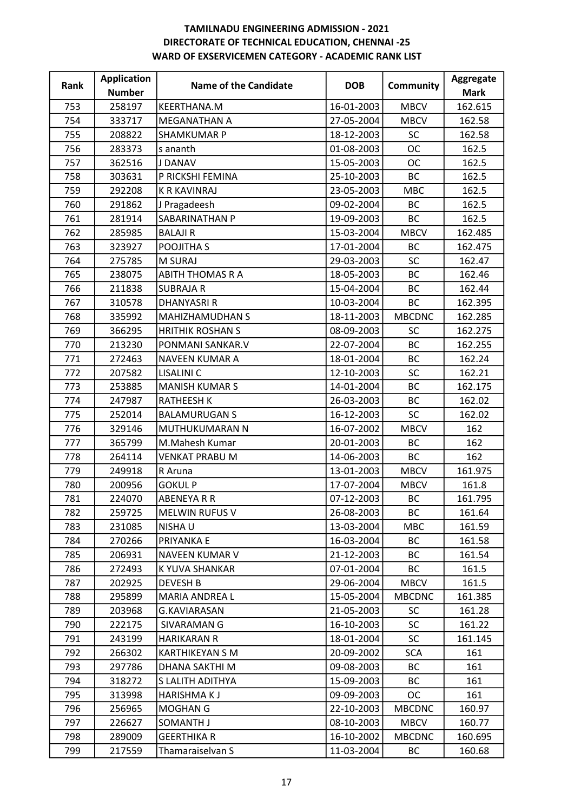| Rank | <b>Application</b> | Name of the Candidate   | <b>DOB</b> | <b>Community</b> | Aggregate   |
|------|--------------------|-------------------------|------------|------------------|-------------|
|      | <b>Number</b>      |                         |            |                  | <b>Mark</b> |
| 753  | 258197             | KEERTHANA.M             | 16-01-2003 | <b>MBCV</b>      | 162.615     |
| 754  | 333717             | <b>MEGANATHAN A</b>     | 27-05-2004 | <b>MBCV</b>      | 162.58      |
| 755  | 208822             | <b>SHAMKUMAR P</b>      | 18-12-2003 | SC               | 162.58      |
| 756  | 283373             | s ananth                | 01-08-2003 | <b>OC</b>        | 162.5       |
| 757  | 362516             | J DANAV                 | 15-05-2003 | <b>OC</b>        | 162.5       |
| 758  | 303631             | P RICKSHI FEMINA        | 25-10-2003 | <b>BC</b>        | 162.5       |
| 759  | 292208             | <b>K R KAVINRAJ</b>     | 23-05-2003 | <b>MBC</b>       | 162.5       |
| 760  | 291862             | J Pragadeesh            | 09-02-2004 | <b>BC</b>        | 162.5       |
| 761  | 281914             | SABARINATHAN P          | 19-09-2003 | <b>BC</b>        | 162.5       |
| 762  | 285985             | <b>BALAJIR</b>          | 15-03-2004 | <b>MBCV</b>      | 162.485     |
| 763  | 323927             | POOJITHA S              | 17-01-2004 | <b>BC</b>        | 162.475     |
| 764  | 275785             | <b>M SURAJ</b>          | 29-03-2003 | SC               | 162.47      |
| 765  | 238075             | <b>ABITH THOMAS R A</b> | 18-05-2003 | <b>BC</b>        | 162.46      |
| 766  | 211838             | <b>SUBRAJA R</b>        | 15-04-2004 | <b>BC</b>        | 162.44      |
| 767  | 310578             | <b>DHANYASRI R</b>      | 10-03-2004 | <b>BC</b>        | 162.395     |
| 768  | 335992             | <b>MAHIZHAMUDHAN S</b>  | 18-11-2003 | <b>MBCDNC</b>    | 162.285     |
| 769  | 366295             | <b>HRITHIK ROSHAN S</b> | 08-09-2003 | <b>SC</b>        | 162.275     |
| 770  | 213230             | PONMANI SANKAR.V        | 22-07-2004 | <b>BC</b>        | 162.255     |
| 771  | 272463             | NAVEEN KUMAR A          | 18-01-2004 | <b>BC</b>        | 162.24      |
| 772  | 207582             | <b>LISALINI C</b>       | 12-10-2003 | SC               | 162.21      |
| 773  | 253885             | <b>MANISH KUMAR S</b>   | 14-01-2004 | <b>BC</b>        | 162.175     |
| 774  | 247987             | <b>RATHEESH K</b>       | 26-03-2003 | <b>BC</b>        | 162.02      |
| 775  | 252014             | <b>BALAMURUGAN S</b>    | 16-12-2003 | SC               | 162.02      |
| 776  | 329146             | MUTHUKUMARAN N          | 16-07-2002 | <b>MBCV</b>      | 162         |
| 777  | 365799             | M.Mahesh Kumar          | 20-01-2003 | BC               | 162         |
| 778  | 264114             | <b>VENKAT PRABU M</b>   | 14-06-2003 | <b>BC</b>        | 162         |
| 779  | 249918             | R Aruna                 | 13-01-2003 | <b>MBCV</b>      | 161.975     |
| 780  | 200956             | <b>GOKUL P</b>          | 17-07-2004 | <b>MBCV</b>      | 161.8       |
| 781  | 224070             | <b>ABENEYA R R</b>      | 07-12-2003 | <b>BC</b>        | 161.795     |
| 782  | 259725             | <b>MELWIN RUFUS V</b>   | 26-08-2003 | ВC               | 161.64      |
| 783  | 231085             | <b>NISHAU</b>           | 13-03-2004 | <b>MBC</b>       | 161.59      |
| 784  | 270266             | PRIYANKA E              | 16-03-2004 | ВC               | 161.58      |
| 785  | 206931             | NAVEEN KUMAR V          | 21-12-2003 | <b>BC</b>        | 161.54      |
| 786  | 272493             | K YUVA SHANKAR          | 07-01-2004 | ВC               | 161.5       |
| 787  | 202925             | <b>DEVESH B</b>         | 29-06-2004 | <b>MBCV</b>      | 161.5       |
| 788  | 295899             | MARIA ANDREA L          | 15-05-2004 | <b>MBCDNC</b>    | 161.385     |
| 789  | 203968             | <b>G.KAVIARASAN</b>     | 21-05-2003 | <b>SC</b>        | 161.28      |
| 790  | 222175             | SIVARAMAN G             | 16-10-2003 | <b>SC</b>        | 161.22      |
| 791  | 243199             | <b>HARIKARAN R</b>      | 18-01-2004 | <b>SC</b>        | 161.145     |
| 792  | 266302             | <b>KARTHIKEYAN S M</b>  | 20-09-2002 | <b>SCA</b>       | 161         |
| 793  | 297786             | DHANA SAKTHI M          | 09-08-2003 | ВC               | 161         |
| 794  | 318272             | S LALITH ADITHYA        | 15-09-2003 | <b>BC</b>        | 161         |
| 795  | 313998             | <b>HARISHMAKJ</b>       | 09-09-2003 | <b>OC</b>        | 161         |
| 796  | 256965             | MOGHAN G                | 22-10-2003 | <b>MBCDNC</b>    | 160.97      |
| 797  | 226627             | SOMANTH J               | 08-10-2003 | <b>MBCV</b>      | 160.77      |
| 798  | 289009             | <b>GEERTHIKA R</b>      | 16-10-2002 | <b>MBCDNC</b>    | 160.695     |
| 799  | 217559             | Thamaraiselvan S        | 11-03-2004 | BC               | 160.68      |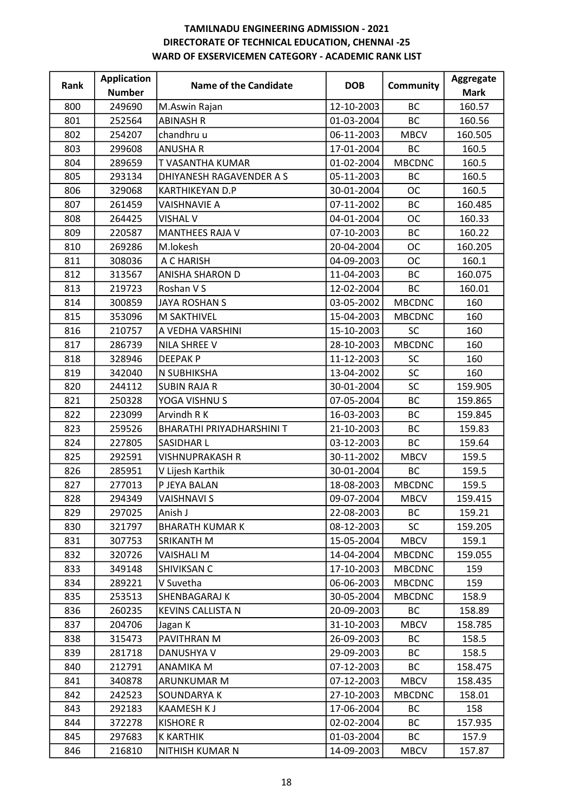| Rank | <b>Application</b> | <b>Name of the Candidate</b> | <b>DOB</b> | Community     | Aggregate   |
|------|--------------------|------------------------------|------------|---------------|-------------|
|      | <b>Number</b>      |                              |            |               | <b>Mark</b> |
| 800  | 249690             | M.Aswin Rajan                | 12-10-2003 | <b>BC</b>     | 160.57      |
| 801  | 252564             | <b>ABINASH R</b>             | 01-03-2004 | <b>BC</b>     | 160.56      |
| 802  | 254207             | chandhru u                   | 06-11-2003 | <b>MBCV</b>   | 160.505     |
| 803  | 299608             | <b>ANUSHAR</b>               | 17-01-2004 | <b>BC</b>     | 160.5       |
| 804  | 289659             | T VASANTHA KUMAR             | 01-02-2004 | <b>MBCDNC</b> | 160.5       |
| 805  | 293134             | DHIYANESH RAGAVENDER A S     | 05-11-2003 | <b>BC</b>     | 160.5       |
| 806  | 329068             | KARTHIKEYAN D.P              | 30-01-2004 | <b>OC</b>     | 160.5       |
| 807  | 261459             | <b>VAISHNAVIE A</b>          | 07-11-2002 | ВC            | 160.485     |
| 808  | 264425             | <b>VISHAL V</b>              | 04-01-2004 | <b>OC</b>     | 160.33      |
| 809  | 220587             | <b>MANTHEES RAJA V</b>       | 07-10-2003 | <b>BC</b>     | 160.22      |
| 810  | 269286             | M.lokesh                     | 20-04-2004 | <b>OC</b>     | 160.205     |
| 811  | 308036             | A C HARISH                   | 04-09-2003 | <b>OC</b>     | 160.1       |
| 812  | 313567             | <b>ANISHA SHARON D</b>       | 11-04-2003 | <b>BC</b>     | 160.075     |
| 813  | 219723             | Roshan V S                   | 12-02-2004 | <b>BC</b>     | 160.01      |
| 814  | 300859             | <b>JAYA ROSHAN S</b>         | 03-05-2002 | <b>MBCDNC</b> | 160         |
| 815  | 353096             | M SAKTHIVEL                  | 15-04-2003 | <b>MBCDNC</b> | 160         |
| 816  | 210757             | A VEDHA VARSHINI             | 15-10-2003 | <b>SC</b>     | 160         |
| 817  | 286739             | NILA SHREE V                 | 28-10-2003 | <b>MBCDNC</b> | 160         |
| 818  | 328946             | <b>DEEPAKP</b>               | 11-12-2003 | <b>SC</b>     | 160         |
| 819  | 342040             | N SUBHIKSHA                  | 13-04-2002 | <b>SC</b>     | 160         |
| 820  | 244112             | <b>SUBIN RAJA R</b>          | 30-01-2004 | SC            | 159.905     |
| 821  | 250328             | YOGA VISHNU S                | 07-05-2004 | <b>BC</b>     | 159.865     |
| 822  | 223099             | Arvindh R K                  | 16-03-2003 | <b>BC</b>     | 159.845     |
| 823  | 259526             | BHARATHI PRIYADHARSHINI T    | 21-10-2003 | BC            | 159.83      |
| 824  | 227805             | <b>SASIDHAR L</b>            | 03-12-2003 | BC            | 159.64      |
| 825  | 292591             | <b>VISHNUPRAKASH R</b>       | 30-11-2002 | <b>MBCV</b>   | 159.5       |
| 826  | 285951             | V Lijesh Karthik             | 30-01-2004 | BC            | 159.5       |
| 827  | 277013             | P JEYA BALAN                 | 18-08-2003 | <b>MBCDNC</b> | 159.5       |
| 828  | 294349             | <b>VAISHNAVI S</b>           | 09-07-2004 | <b>MBCV</b>   | 159.415     |
| 829  | 297025             | Anish J                      | 22-08-2003 | ВC            | 159.21      |
| 830  | 321797             | <b>BHARATH KUMAR K</b>       | 08-12-2003 | SC            | 159.205     |
| 831  | 307753             | SRIKANTH M                   | 15-05-2004 | <b>MBCV</b>   | 159.1       |
| 832  | 320726             | <b>VAISHALI M</b>            | 14-04-2004 | <b>MBCDNC</b> | 159.055     |
| 833  | 349148             | SHIVIKSAN C                  | 17-10-2003 | <b>MBCDNC</b> | 159         |
| 834  | 289221             | V Suvetha                    | 06-06-2003 | <b>MBCDNC</b> | 159         |
| 835  | 253513             | SHENBAGARAJ K                | 30-05-2004 | <b>MBCDNC</b> | 158.9       |
| 836  | 260235             | <b>KEVINS CALLISTA N</b>     | 20-09-2003 | <b>BC</b>     | 158.89      |
| 837  | 204706             | Jagan K                      | 31-10-2003 | <b>MBCV</b>   | 158.785     |
| 838  | 315473             | PAVITHRAN M                  | 26-09-2003 | ВC            | 158.5       |
| 839  | 281718             | DANUSHYA V                   | 29-09-2003 | <b>BC</b>     | 158.5       |
| 840  | 212791             | ANAMIKA M                    | 07-12-2003 | ВC            | 158.475     |
| 841  | 340878             | ARUNKUMAR M                  | 07-12-2003 | <b>MBCV</b>   | 158.435     |
| 842  | 242523             | SOUNDARYA K                  | 27-10-2003 | <b>MBCDNC</b> | 158.01      |
| 843  | 292183             | <b>KAAMESH KJ</b>            | 17-06-2004 | <b>BC</b>     | 158         |
| 844  | 372278             | <b>KISHORE R</b>             | 02-02-2004 | <b>BC</b>     | 157.935     |
| 845  | 297683             | <b>K KARTHIK</b>             | 01-03-2004 | BC            | 157.9       |
| 846  | 216810             | NITHISH KUMAR N              | 14-09-2003 | <b>MBCV</b>   | 157.87      |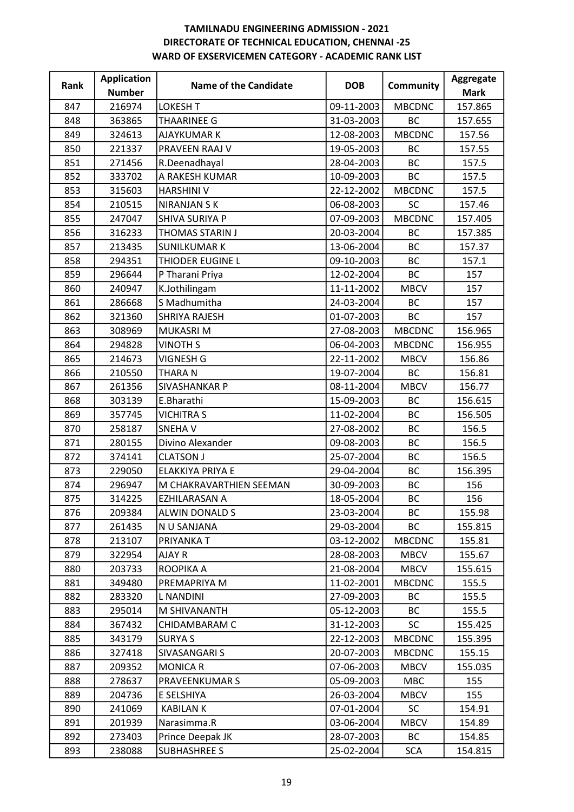| Rank | <b>Application</b> | Name of the Candidate   | <b>DOB</b> | <b>Community</b> | Aggregate   |
|------|--------------------|-------------------------|------------|------------------|-------------|
|      | <b>Number</b>      |                         |            |                  | <b>Mark</b> |
| 847  | 216974             | <b>LOKESH T</b>         | 09-11-2003 | <b>MBCDNC</b>    | 157.865     |
| 848  | 363865             | <b>THAARINEE G</b>      | 31-03-2003 | <b>BC</b>        | 157.655     |
| 849  | 324613             | <b>AJAYKUMAR K</b>      | 12-08-2003 | <b>MBCDNC</b>    | 157.56      |
| 850  | 221337             | PRAVEEN RAAJ V          | 19-05-2003 | <b>BC</b>        | 157.55      |
| 851  | 271456             | R.Deenadhayal           | 28-04-2003 | BC               | 157.5       |
| 852  | 333702             | A RAKESH KUMAR          | 10-09-2003 | <b>BC</b>        | 157.5       |
| 853  | 315603             | <b>HARSHINI V</b>       | 22-12-2002 | <b>MBCDNC</b>    | 157.5       |
| 854  | 210515             | <b>NIRANJAN S K</b>     | 06-08-2003 | <b>SC</b>        | 157.46      |
| 855  | 247047             | SHIVA SURIYA P          | 07-09-2003 | <b>MBCDNC</b>    | 157.405     |
| 856  | 316233             | THOMAS STARIN J         | 20-03-2004 | BC               | 157.385     |
| 857  | 213435             | <b>SUNILKUMAR K</b>     | 13-06-2004 | <b>BC</b>        | 157.37      |
| 858  | 294351             | THIODER EUGINE L        | 09-10-2003 | <b>BC</b>        | 157.1       |
| 859  | 296644             | P Tharani Priya         | 12-02-2004 | <b>BC</b>        | 157         |
| 860  | 240947             | K.Jothilingam           | 11-11-2002 | <b>MBCV</b>      | 157         |
| 861  | 286668             | S Madhumitha            | 24-03-2004 | BC               | 157         |
| 862  | 321360             | <b>SHRIYA RAJESH</b>    | 01-07-2003 | <b>BC</b>        | 157         |
| 863  | 308969             | <b>MUKASRIM</b>         | 27-08-2003 | <b>MBCDNC</b>    | 156.965     |
| 864  | 294828             | <b>VINOTH S</b>         | 06-04-2003 | <b>MBCDNC</b>    | 156.955     |
| 865  | 214673             | <b>VIGNESH G</b>        | 22-11-2002 | <b>MBCV</b>      | 156.86      |
| 866  | 210550             | THARA N                 | 19-07-2004 | <b>BC</b>        | 156.81      |
| 867  | 261356             | SIVASHANKAR P           | 08-11-2004 | <b>MBCV</b>      | 156.77      |
| 868  | 303139             | E.Bharathi              | 15-09-2003 | <b>BC</b>        | 156.615     |
| 869  | 357745             | <b>VICHITRA S</b>       | 11-02-2004 | <b>BC</b>        | 156.505     |
| 870  | 258187             | SNEHA V                 | 27-08-2002 | BC               | 156.5       |
| 871  | 280155             | Divino Alexander        | 09-08-2003 | <b>BC</b>        | 156.5       |
| 872  | 374141             | <b>CLATSON J</b>        | 25-07-2004 | BC               | 156.5       |
| 873  | 229050             | ELAKKIYA PRIYA E        | 29-04-2004 | <b>BC</b>        | 156.395     |
| 874  | 296947             | M CHAKRAVARTHIEN SEEMAN | 30-09-2003 | ВC               | 156         |
| 875  | 314225             | EZHILARASAN A           | 18-05-2004 | <b>BC</b>        | 156         |
| 876  | 209384             | ALWIN DONALD S          | 23-03-2004 | ВC               | 155.98      |
| 877  | 261435             | N U SANJANA             | 29-03-2004 | ВC               | 155.815     |
| 878  | 213107             | PRIYANKA T              | 03-12-2002 | <b>MBCDNC</b>    | 155.81      |
| 879  | 322954             | AJAY R                  | 28-08-2003 | <b>MBCV</b>      | 155.67      |
| 880  | 203733             | ROOPIKA A               | 21-08-2004 | <b>MBCV</b>      | 155.615     |
| 881  | 349480             | PREMAPRIYA M            | 11-02-2001 | <b>MBCDNC</b>    | 155.5       |
| 882  | 283320             | L NANDINI               | 27-09-2003 | ВC               | 155.5       |
| 883  | 295014             | M SHIVANANTH            | 05-12-2003 | ВC               | 155.5       |
| 884  | 367432             | CHIDAMBARAM C           | 31-12-2003 | <b>SC</b>        | 155.425     |
| 885  | 343179             | <b>SURYA S</b>          | 22-12-2003 | <b>MBCDNC</b>    | 155.395     |
| 886  | 327418             | SIVASANGARI S           | 20-07-2003 | <b>MBCDNC</b>    | 155.15      |
| 887  | 209352             | <b>MONICA R</b>         | 07-06-2003 | <b>MBCV</b>      | 155.035     |
| 888  | 278637             | PRAVEENKUMAR S          | 05-09-2003 | <b>MBC</b>       | 155         |
| 889  | 204736             | E SELSHIYA              | 26-03-2004 | <b>MBCV</b>      | 155         |
| 890  | 241069             | KABILAN K               | 07-01-2004 | <b>SC</b>        | 154.91      |
| 891  | 201939             | Narasimma.R             | 03-06-2004 | <b>MBCV</b>      | 154.89      |
| 892  | 273403             | Prince Deepak JK        | 28-07-2003 | ВC               | 154.85      |
| 893  | 238088             | <b>SUBHASHREE S</b>     | 25-02-2004 | <b>SCA</b>       | 154.815     |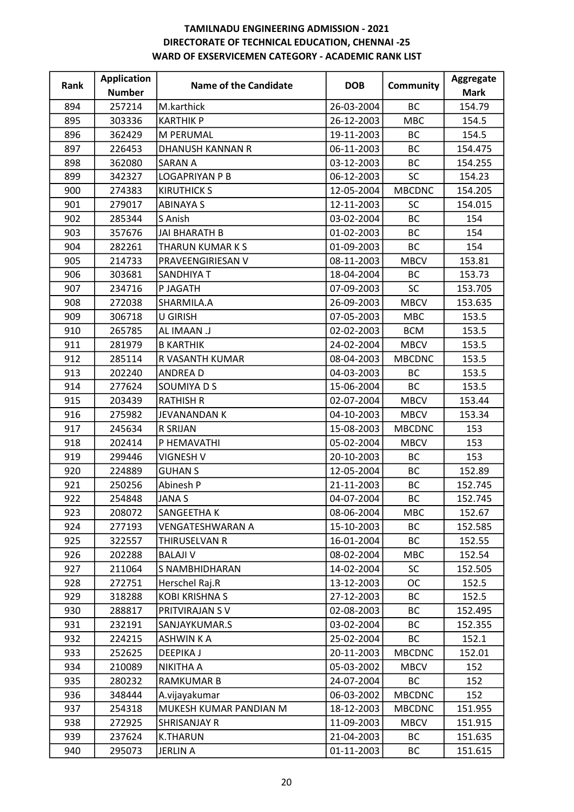| Rank | <b>Application</b> | Name of the Candidate   | <b>DOB</b> | <b>Community</b> | Aggregate   |
|------|--------------------|-------------------------|------------|------------------|-------------|
|      | <b>Number</b>      |                         |            |                  | <b>Mark</b> |
| 894  | 257214             | M.karthick              | 26-03-2004 | <b>BC</b>        | 154.79      |
| 895  | 303336             | <b>KARTHIK P</b>        | 26-12-2003 | <b>MBC</b>       | 154.5       |
| 896  | 362429             | M PERUMAL               | 19-11-2003 | BC               | 154.5       |
| 897  | 226453             | DHANUSH KANNAN R        | 06-11-2003 | <b>BC</b>        | 154.475     |
| 898  | 362080             | <b>SARAN A</b>          | 03-12-2003 | BC               | 154.255     |
| 899  | 342327             | <b>LOGAPRIYAN P B</b>   | 06-12-2003 | SC               | 154.23      |
| 900  | 274383             | <b>KIRUTHICK S</b>      | 12-05-2004 | <b>MBCDNC</b>    | 154.205     |
| 901  | 279017             | <b>ABINAYA S</b>        | 12-11-2003 | <b>SC</b>        | 154.015     |
| 902  | 285344             | S Anish                 | 03-02-2004 | <b>BC</b>        | 154         |
| 903  | 357676             | <b>JAI BHARATH B</b>    | 01-02-2003 | BC               | 154         |
| 904  | 282261             | THARUN KUMAR K S        | 01-09-2003 | <b>BC</b>        | 154         |
| 905  | 214733             | PRAVEENGIRIESAN V       | 08-11-2003 | <b>MBCV</b>      | 153.81      |
| 906  | 303681             | <b>SANDHIYA T</b>       | 18-04-2004 | ВC               | 153.73      |
| 907  | 234716             | P JAGATH                | 07-09-2003 | SC               | 153.705     |
| 908  | 272038             | SHARMILA.A              | 26-09-2003 | <b>MBCV</b>      | 153.635     |
| 909  | 306718             | <b>U GIRISH</b>         | 07-05-2003 | <b>MBC</b>       | 153.5       |
| 910  | 265785             | AL IMAAN .J             | 02-02-2003 | <b>BCM</b>       | 153.5       |
| 911  | 281979             | <b>B KARTHIK</b>        | 24-02-2004 | <b>MBCV</b>      | 153.5       |
| 912  | 285114             | R VASANTH KUMAR         | 08-04-2003 | <b>MBCDNC</b>    | 153.5       |
| 913  | 202240             | <b>ANDREAD</b>          | 04-03-2003 | <b>BC</b>        | 153.5       |
| 914  | 277624             | SOUMIYA D S             | 15-06-2004 | BC               | 153.5       |
| 915  | 203439             | <b>RATHISH R</b>        | 02-07-2004 | <b>MBCV</b>      | 153.44      |
| 916  | 275982             | JEVANANDAN K            | 04-10-2003 | <b>MBCV</b>      | 153.34      |
| 917  | 245634             | <b>R SRIJAN</b>         | 15-08-2003 | <b>MBCDNC</b>    | 153         |
| 918  | 202414             | P HEMAVATHI             | 05-02-2004 | <b>MBCV</b>      | 153         |
| 919  | 299446             | <b>VIGNESH V</b>        | 20-10-2003 | <b>BC</b>        | 153         |
| 920  | 224889             | <b>GUHAN S</b>          | 12-05-2004 | BC               | 152.89      |
| 921  | 250256             | Abinesh P               | 21-11-2003 | BC               | 152.745     |
| 922  | 254848             | <b>JANA S</b>           | 04-07-2004 | <b>BC</b>        | 152.745     |
| 923  | 208072             | SANGEETHA K             | 08-06-2004 | <b>MBC</b>       | 152.67      |
| 924  | 277193             | <b>VENGATESHWARAN A</b> | 15-10-2003 | <b>BC</b>        | 152.585     |
| 925  | 322557             | THIRUSELVAN R           | 16-01-2004 | ВC               | 152.55      |
| 926  | 202288             | <b>BALAJI V</b>         | 08-02-2004 | <b>MBC</b>       | 152.54      |
| 927  | 211064             | S NAMBHIDHARAN          | 14-02-2004 | <b>SC</b>        | 152.505     |
| 928  | 272751             | Herschel Raj.R          | 13-12-2003 | OC               | 152.5       |
| 929  | 318288             | <b>KOBI KRISHNA S</b>   | 27-12-2003 | BC               | 152.5       |
| 930  | 288817             | PRITVIRAJAN SV          | 02-08-2003 | <b>BC</b>        | 152.495     |
| 931  | 232191             | SANJAYKUMAR.S           | 03-02-2004 | <b>BC</b>        | 152.355     |
| 932  | 224215             | <b>ASHWIN K A</b>       | 25-02-2004 | ВC               | 152.1       |
| 933  | 252625             | <b>DEEPIKA J</b>        | 20-11-2003 | <b>MBCDNC</b>    | 152.01      |
| 934  | 210089             | NIKITHA A               | 05-03-2002 | <b>MBCV</b>      | 152         |
| 935  | 280232             | <b>RAMKUMAR B</b>       | 24-07-2004 | <b>BC</b>        | 152         |
| 936  | 348444             | A.vijayakumar           | 06-03-2002 | <b>MBCDNC</b>    | 152         |
| 937  | 254318             | MUKESH KUMAR PANDIAN M  | 18-12-2003 | <b>MBCDNC</b>    | 151.955     |
| 938  | 272925             | SHRISANJAY R            | 11-09-2003 | <b>MBCV</b>      | 151.915     |
| 939  | 237624             | <b>K.THARUN</b>         | 21-04-2003 | ВC               | 151.635     |
| 940  | 295073             | <b>JERLIN A</b>         | 01-11-2003 | ВC               | 151.615     |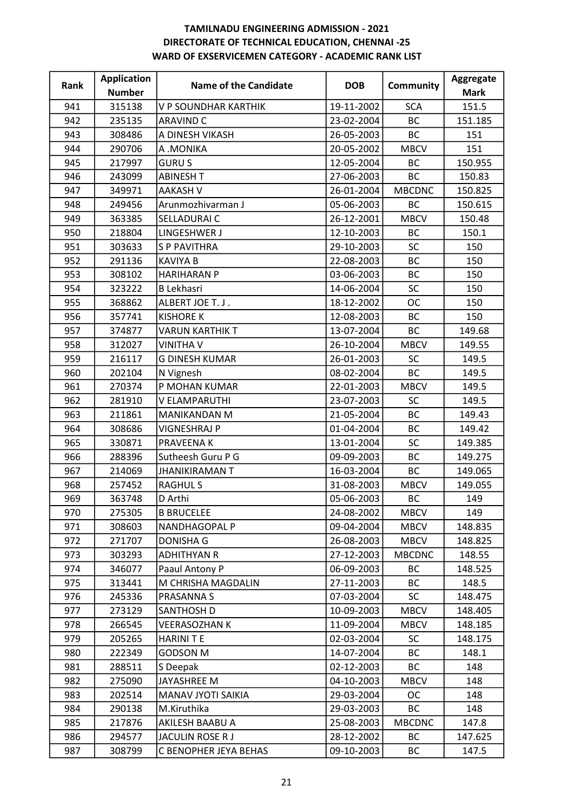| Rank | <b>Application</b> | Name of the Candidate  | <b>DOB</b> | <b>Community</b> | Aggregate   |
|------|--------------------|------------------------|------------|------------------|-------------|
|      | <b>Number</b>      |                        |            |                  | <b>Mark</b> |
| 941  | 315138             | V P SOUNDHAR KARTHIK   | 19-11-2002 | <b>SCA</b>       | 151.5       |
| 942  | 235135             | <b>ARAVIND C</b>       | 23-02-2004 | <b>BC</b>        | 151.185     |
| 943  | 308486             | A DINESH VIKASH        | 26-05-2003 | BC               | 151         |
| 944  | 290706             | A .MONIKA              | 20-05-2002 | <b>MBCV</b>      | 151         |
| 945  | 217997             | <b>GURUS</b>           | 12-05-2004 | BC               | 150.955     |
| 946  | 243099             | <b>ABINESH T</b>       | 27-06-2003 | <b>BC</b>        | 150.83      |
| 947  | 349971             | <b>AAKASH V</b>        | 26-01-2004 | <b>MBCDNC</b>    | 150.825     |
| 948  | 249456             | Arunmozhivarman J      | 05-06-2003 | BC               | 150.615     |
| 949  | 363385             | SELLADURAI C           | 26-12-2001 | <b>MBCV</b>      | 150.48      |
| 950  | 218804             | LINGESHWER J           | 12-10-2003 | <b>BC</b>        | 150.1       |
| 951  | 303633             | <b>SP PAVITHRA</b>     | 29-10-2003 | SC               | 150         |
| 952  | 291136             | <b>KAVIYA B</b>        | 22-08-2003 | <b>BC</b>        | 150         |
| 953  | 308102             | <b>HARIHARAN P</b>     | 03-06-2003 | <b>BC</b>        | 150         |
| 954  | 323222             | <b>B Lekhasri</b>      | 14-06-2004 | SC               | 150         |
| 955  | 368862             | ALBERT JOE T. J.       | 18-12-2002 | ОC               | 150         |
| 956  | 357741             | <b>KISHORE K</b>       | 12-08-2003 | <b>BC</b>        | 150         |
| 957  | 374877             | <b>VARUN KARTHIK T</b> | 13-07-2004 | <b>BC</b>        | 149.68      |
| 958  | 312027             | <b>VINITHA V</b>       | 26-10-2004 | <b>MBCV</b>      | 149.55      |
| 959  | 216117             | <b>G DINESH KUMAR</b>  | 26-01-2003 | <b>SC</b>        | 149.5       |
| 960  | 202104             | N Vignesh              | 08-02-2004 | <b>BC</b>        | 149.5       |
| 961  | 270374             | P MOHAN KUMAR          | 22-01-2003 | <b>MBCV</b>      | 149.5       |
| 962  | 281910             | V ELAMPARUTHI          | 23-07-2003 | <b>SC</b>        | 149.5       |
| 963  | 211861             | MANIKANDAN M           | 21-05-2004 | BC               | 149.43      |
| 964  | 308686             | <b>VIGNESHRAJ P</b>    | 01-04-2004 | BC               | 149.42      |
| 965  | 330871             | PRAVEENA K             | 13-01-2004 | SC               | 149.385     |
| 966  | 288396             | Sutheesh Guru P G      | 09-09-2003 | BC               | 149.275     |
| 967  | 214069             | <b>JHANIKIRAMAN T</b>  | 16-03-2004 | <b>BC</b>        | 149.065     |
| 968  | 257452             | <b>RAGHULS</b>         | 31-08-2003 | <b>MBCV</b>      | 149.055     |
| 969  | 363748             | D Arthi                | 05-06-2003 | <b>BC</b>        | 149         |
| 970  | 275305             | <b>B BRUCELEE</b>      | 24-08-2002 | <b>MBCV</b>      | 149         |
| 971  | 308603             | NANDHAGOPAL P          | 09-04-2004 | <b>MBCV</b>      | 148.835     |
| 972  | 271707             | <b>DONISHA G</b>       | 26-08-2003 | <b>MBCV</b>      | 148.825     |
| 973  | 303293             | <b>ADHITHYAN R</b>     | 27-12-2003 | <b>MBCDNC</b>    | 148.55      |
| 974  | 346077             | Paaul Antony P         | 06-09-2003 | ВC               | 148.525     |
| 975  | 313441             | M CHRISHA MAGDALIN     | 27-11-2003 | <b>BC</b>        | 148.5       |
| 976  | 245336             | PRASANNA S             | 07-03-2004 | <b>SC</b>        | 148.475     |
| 977  | 273129             | SANTHOSH D             | 10-09-2003 | <b>MBCV</b>      | 148.405     |
| 978  | 266545             | <b>VEERASOZHAN K</b>   | 11-09-2004 | <b>MBCV</b>      | 148.185     |
| 979  | 205265             | <b>HARINITE</b>        | 02-03-2004 | <b>SC</b>        | 148.175     |
| 980  | 222349             | <b>GODSON M</b>        | 14-07-2004 | <b>BC</b>        | 148.1       |
| 981  | 288511             | S Deepak               | 02-12-2003 | BC               | 148         |
| 982  | 275090             | JAYASHREE M            | 04-10-2003 | <b>MBCV</b>      | 148         |
| 983  | 202514             | MANAV JYOTI SAIKIA     | 29-03-2004 | ОC               | 148         |
| 984  | 290138             | M.Kiruthika            | 29-03-2003 | ВC               | 148         |
| 985  | 217876             | AKILESH BAABU A        | 25-08-2003 | <b>MBCDNC</b>    | 147.8       |
| 986  | 294577             | JACULIN ROSE R J       | 28-12-2002 | BC               | 147.625     |
| 987  | 308799             | C BENOPHER JEYA BEHAS  | 09-10-2003 | ВC               | 147.5       |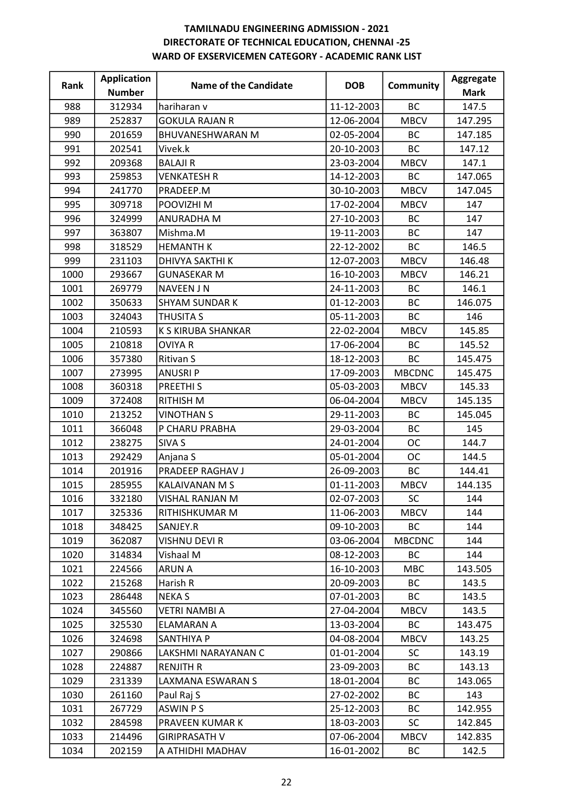| Rank | <b>Application</b> | Name of the Candidate  | <b>DOB</b> | <b>Community</b> | Aggregate   |
|------|--------------------|------------------------|------------|------------------|-------------|
|      | <b>Number</b>      |                        |            |                  | <b>Mark</b> |
| 988  | 312934             | hariharan v            | 11-12-2003 | <b>BC</b>        | 147.5       |
| 989  | 252837             | <b>GOKULA RAJAN R</b>  | 12-06-2004 | <b>MBCV</b>      | 147.295     |
| 990  | 201659             | BHUVANESHWARAN M       | 02-05-2004 | ВC               | 147.185     |
| 991  | 202541             | Vivek.k                | 20-10-2003 | <b>BC</b>        | 147.12      |
| 992  | 209368             | <b>BALAJIR</b>         | 23-03-2004 | <b>MBCV</b>      | 147.1       |
| 993  | 259853             | <b>VENKATESH R</b>     | 14-12-2003 | ВC               | 147.065     |
| 994  | 241770             | PRADEEP.M              | 30-10-2003 | <b>MBCV</b>      | 147.045     |
| 995  | 309718             | POOVIZHI M             | 17-02-2004 | <b>MBCV</b>      | 147         |
| 996  | 324999             | ANURADHA M             | 27-10-2003 | <b>BC</b>        | 147         |
| 997  | 363807             | Mishma.M               | 19-11-2003 | BC               | 147         |
| 998  | 318529             | <b>HEMANTH K</b>       | 22-12-2002 | <b>BC</b>        | 146.5       |
| 999  | 231103             | <b>DHIVYA SAKTHI K</b> | 12-07-2003 | <b>MBCV</b>      | 146.48      |
| 1000 | 293667             | <b>GUNASEKAR M</b>     | 16-10-2003 | <b>MBCV</b>      | 146.21      |
| 1001 | 269779             | <b>NAVEEN JN</b>       | 24-11-2003 | <b>BC</b>        | 146.1       |
| 1002 | 350633             | <b>SHYAM SUNDAR K</b>  | 01-12-2003 | BC               | 146.075     |
| 1003 | 324043             | THUSITA S              | 05-11-2003 | BC               | 146         |
| 1004 | 210593             | K S KIRUBA SHANKAR     | 22-02-2004 | <b>MBCV</b>      | 145.85      |
| 1005 | 210818             | <b>OVIYA R</b>         | 17-06-2004 | <b>BC</b>        | 145.52      |
| 1006 | 357380             | Ritivan S              | 18-12-2003 | <b>BC</b>        | 145.475     |
| 1007 | 273995             | <b>ANUSRIP</b>         | 17-09-2003 | <b>MBCDNC</b>    | 145.475     |
| 1008 | 360318             | PREETHI <sub>S</sub>   | 05-03-2003 | <b>MBCV</b>      | 145.33      |
| 1009 | 372408             | <b>RITHISH M</b>       | 06-04-2004 | <b>MBCV</b>      | 145.135     |
| 1010 | 213252             | <b>VINOTHAN S</b>      | 29-11-2003 | <b>BC</b>        | 145.045     |
| 1011 | 366048             | P CHARU PRABHA         | 29-03-2004 | <b>BC</b>        | 145         |
| 1012 | 238275             | SIVA S                 | 24-01-2004 | <b>OC</b>        | 144.7       |
| 1013 | 292429             | Anjana S               | 05-01-2004 | <b>OC</b>        | 144.5       |
| 1014 | 201916             | PRADEEP RAGHAV J       | 26-09-2003 | BC               | 144.41      |
| 1015 | 285955             | KALAIVANAN M S         | 01-11-2003 | <b>MBCV</b>      | 144.135     |
| 1016 | 332180             | VISHAL RANJAN M        | 02-07-2003 | SC               | 144         |
| 1017 | 325336             | RITHISHKUMAR M         | 11-06-2003 | <b>MBCV</b>      | 144         |
| 1018 | 348425             | SANJEY.R               | 09-10-2003 | <b>BC</b>        | 144         |
| 1019 | 362087             | VISHNU DEVI R          | 03-06-2004 | <b>MBCDNC</b>    | 144         |
| 1020 | 314834             | Vishaal M              | 08-12-2003 | <b>BC</b>        | 144         |
| 1021 | 224566             | <b>ARUN A</b>          | 16-10-2003 | <b>MBC</b>       | 143.505     |
| 1022 | 215268             | Harish R               | 20-09-2003 | BC               | 143.5       |
| 1023 | 286448             | <b>NEKAS</b>           | 07-01-2003 | BC               | 143.5       |
| 1024 | 345560             | <b>VETRI NAMBI A</b>   | 27-04-2004 | <b>MBCV</b>      | 143.5       |
| 1025 | 325530             | ELAMARAN A             | 13-03-2004 | <b>BC</b>        | 143.475     |
| 1026 | 324698             | SANTHIYA P             | 04-08-2004 | <b>MBCV</b>      | 143.25      |
| 1027 | 290866             | LAKSHMI NARAYANAN C    | 01-01-2004 | <b>SC</b>        | 143.19      |
| 1028 | 224887             | <b>RENJITH R</b>       | 23-09-2003 | ВC               | 143.13      |
| 1029 | 231339             | LAXMANA ESWARAN S      | 18-01-2004 | <b>BC</b>        | 143.065     |
| 1030 | 261160             | Paul Raj S             | 27-02-2002 | <b>BC</b>        | 143         |
| 1031 | 267729             | ASWIN P S              | 25-12-2003 | ВC               | 142.955     |
| 1032 | 284598             | PRAVEEN KUMAR K        | 18-03-2003 | <b>SC</b>        | 142.845     |
| 1033 | 214496             | <b>GIRIPRASATH V</b>   | 07-06-2004 | <b>MBCV</b>      | 142.835     |
| 1034 | 202159             | A ATHIDHI MADHAV       | 16-01-2002 | ВC               | 142.5       |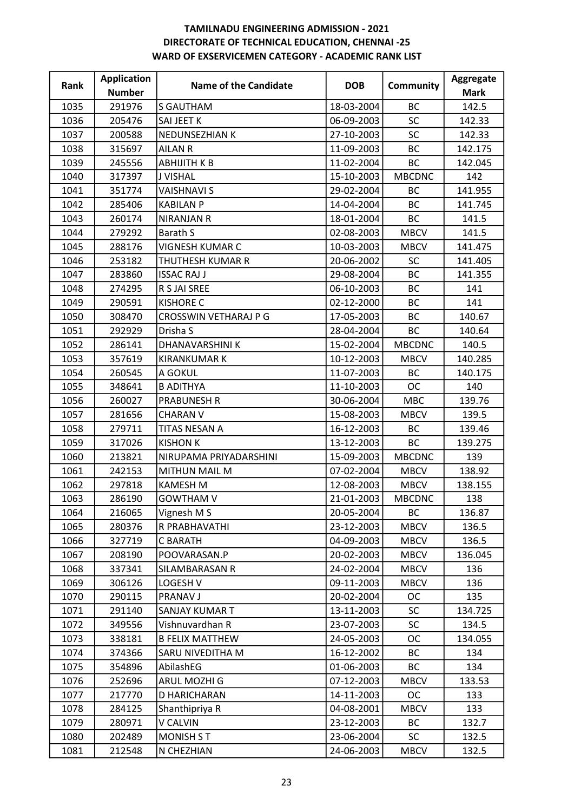| Rank | <b>Application</b> | <b>Name of the Candidate</b> | <b>DOB</b> | <b>Community</b> | Aggregate   |
|------|--------------------|------------------------------|------------|------------------|-------------|
|      | <b>Number</b>      |                              |            |                  | <b>Mark</b> |
| 1035 | 291976             | <b>S GAUTHAM</b>             | 18-03-2004 | BC               | 142.5       |
| 1036 | 205476             | SAI JEET K                   | 06-09-2003 | <b>SC</b>        | 142.33      |
| 1037 | 200588             | NEDUNSEZHIAN K               | 27-10-2003 | SC               | 142.33      |
| 1038 | 315697             | <b>AILAN R</b>               | 11-09-2003 | <b>BC</b>        | 142.175     |
| 1039 | 245556             | <b>ABHIJITH K B</b>          | 11-02-2004 | BC               | 142.045     |
| 1040 | 317397             | <b>J VISHAL</b>              | 15-10-2003 | <b>MBCDNC</b>    | 142         |
| 1041 | 351774             | <b>VAISHNAVI S</b>           | 29-02-2004 | <b>BC</b>        | 141.955     |
| 1042 | 285406             | <b>KABILAN P</b>             | 14-04-2004 | <b>BC</b>        | 141.745     |
| 1043 | 260174             | <b>NIRANJAN R</b>            | 18-01-2004 | <b>BC</b>        | 141.5       |
| 1044 | 279292             | <b>Barath S</b>              | 02-08-2003 | <b>MBCV</b>      | 141.5       |
| 1045 | 288176             | VIGNESH KUMAR C              | 10-03-2003 | <b>MBCV</b>      | 141.475     |
| 1046 | 253182             | THUTHESH KUMAR R             | 20-06-2002 | <b>SC</b>        | 141.405     |
| 1047 | 283860             | <b>ISSAC RAJ J</b>           | 29-08-2004 | <b>BC</b>        | 141.355     |
| 1048 | 274295             | R S JAI SREE                 | 06-10-2003 | <b>BC</b>        | 141         |
| 1049 | 290591             | <b>KISHORE C</b>             | 02-12-2000 | <b>BC</b>        | 141         |
| 1050 | 308470             | <b>CROSSWIN VETHARAJ P G</b> | 17-05-2003 | BC               | 140.67      |
| 1051 | 292929             | Drisha S                     | 28-04-2004 | BC               | 140.64      |
| 1052 | 286141             | DHANAVARSHINI K              | 15-02-2004 | <b>MBCDNC</b>    | 140.5       |
| 1053 | 357619             | <b>KIRANKUMAR K</b>          | 10-12-2003 | <b>MBCV</b>      | 140.285     |
| 1054 | 260545             | A GOKUL                      | 11-07-2003 | BC               | 140.175     |
| 1055 | 348641             | <b>B ADITHYA</b>             | 11-10-2003 | <b>OC</b>        | 140         |
| 1056 | 260027             | <b>PRABUNESH R</b>           | 30-06-2004 | <b>MBC</b>       | 139.76      |
| 1057 | 281656             | <b>CHARAN V</b>              | 15-08-2003 | <b>MBCV</b>      | 139.5       |
| 1058 | 279711             | TITAS NESAN A                | 16-12-2003 | BC               | 139.46      |
| 1059 | 317026             | <b>KISHON K</b>              | 13-12-2003 | BC               | 139.275     |
| 1060 | 213821             | NIRUPAMA PRIYADARSHINI       | 15-09-2003 | <b>MBCDNC</b>    | 139         |
| 1061 | 242153             | <b>MITHUN MAIL M</b>         | 07-02-2004 | <b>MBCV</b>      | 138.92      |
| 1062 | 297818             | <b>KAMESH M</b>              | 12-08-2003 | <b>MBCV</b>      | 138.155     |
| 1063 | 286190             | <b>GOWTHAM V</b>             | 21-01-2003 | <b>MBCDNC</b>    | 138         |
| 1064 | 216065             | Vignesh M S                  | 20-05-2004 | <b>BC</b>        | 136.87      |
| 1065 | 280376             | R PRABHAVATHI                | 23-12-2003 | <b>MBCV</b>      | 136.5       |
| 1066 | 327719             | <b>C BARATH</b>              | 04-09-2003 | <b>MBCV</b>      | 136.5       |
| 1067 | 208190             | POOVARASAN.P                 | 20-02-2003 | <b>MBCV</b>      | 136.045     |
| 1068 | 337341             | SILAMBARASAN R               | 24-02-2004 | <b>MBCV</b>      | 136         |
| 1069 | 306126             | LOGESH V                     | 09-11-2003 | <b>MBCV</b>      | 136         |
| 1070 | 290115             | PRANAV J                     | 20-02-2004 | <b>OC</b>        | 135         |
| 1071 | 291140             | SANJAY KUMAR T               | 13-11-2003 | <b>SC</b>        | 134.725     |
| 1072 | 349556             | Vishnuvardhan R              | 23-07-2003 | SC               | 134.5       |
| 1073 | 338181             | <b>B FELIX MATTHEW</b>       | 24-05-2003 | OC               | 134.055     |
| 1074 | 374366             | SARU NIVEDITHA M             | 16-12-2002 | <b>BC</b>        | 134         |
| 1075 | 354896             | AbilashEG                    | 01-06-2003 | ВC               | 134         |
| 1076 | 252696             | ARUL MOZHI G                 | 07-12-2003 | <b>MBCV</b>      | 133.53      |
| 1077 | 217770             | D HARICHARAN                 | 14-11-2003 | <b>OC</b>        | 133         |
| 1078 | 284125             | Shanthipriya R               | 04-08-2001 | <b>MBCV</b>      | 133         |
| 1079 | 280971             | V CALVIN                     | 23-12-2003 | <b>BC</b>        | 132.7       |
| 1080 | 202489             | MONISH ST                    | 23-06-2004 | <b>SC</b>        | 132.5       |
| 1081 | 212548             | N CHEZHIAN                   | 24-06-2003 | <b>MBCV</b>      | 132.5       |